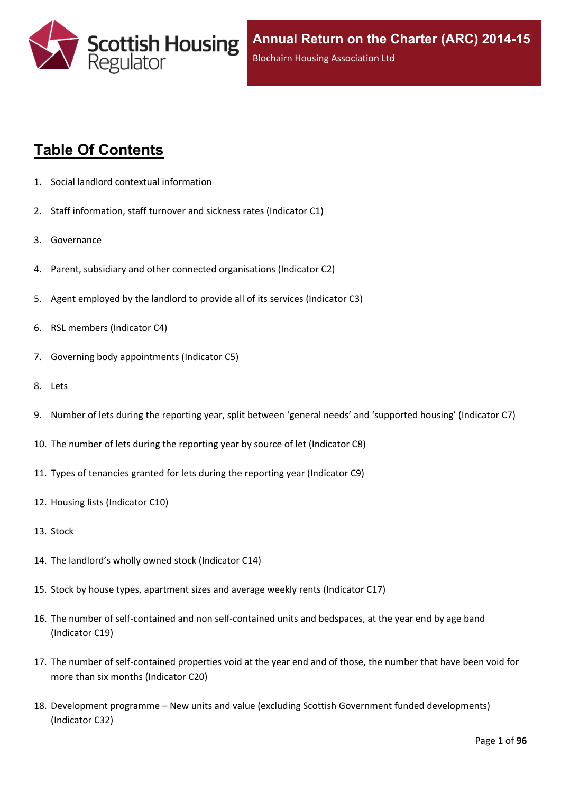

# **Table Of Contents**

- 1. Social landlord contextual [information](#page-5-0)
- 2. Staff [information,](#page-6-0) staff turnover and sickness rates (Indicator C1)
- 3. [Governance](#page-8-0)
- 4. Parent, subsidiary and other connected [organisations](#page-9-0) (Indicator C2)
- 5. Agent [employed](#page-10-0) by the landlord to provide all of its services (Indicator C3)
- 6. RSL members [\(Indicator](#page-11-0) C4)
- 7. Governing body [appointments](#page-12-0) (Indicator C5)
- 8. [Lets](#page-13-0)
- 9. Number of lets during the reporting year, split between 'general needs' and ['supported](#page-14-0) housing' (Indicator C7)
- 10. The number of lets during the reporting year by source of let [\(Indicator](#page-15-0) C8)
- 11. Types of tenancies granted for lets during the reporting year [\(Indicator](#page-16-0) C9)
- 12. Housing lists [\(Indicator](#page-17-0) C10)
- 13. [Stock](#page-18-0)
- 14. The [landlord's](#page-19-0) wholly owned stock (Indicator C14)
- 15. Stock by house types, [apartment](#page-20-0) sizes and average weekly rents (Indicator C17)
- 16. The number of self-contained and non [self-contained](#page-21-0) units and bedspaces, at the year end by age band [\(Indicator](#page-21-0) C19)
- 17. The number of [self-contained](#page-22-0) properties void at the year end and of those, the number that have been void for more than six months [\(Indicator](#page-22-0) C20)
- 18. [Development](#page-23-0) programme [–](#page-23-0) New units and value (excluding Scottish Government funded [developments\)](#page-23-0) [\(Indicator](#page-23-0) C32)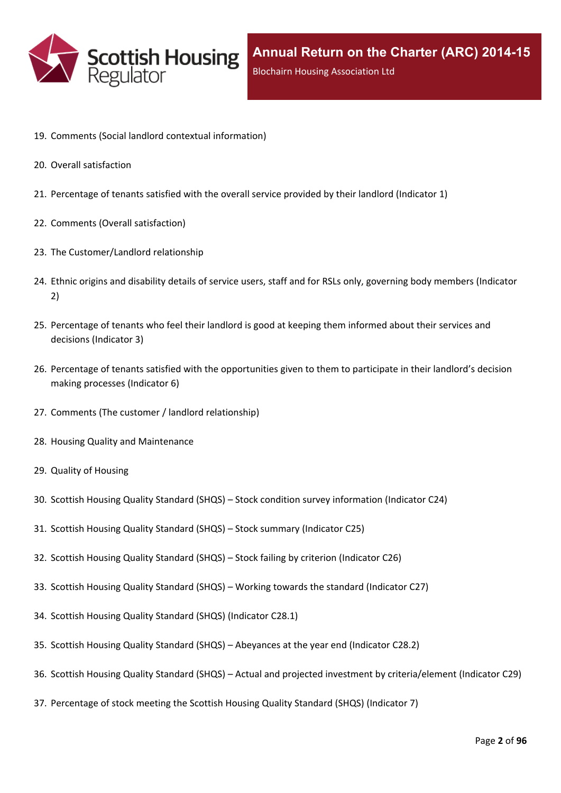

- 19. Comments (Social landlord contextual [information\)](#page-25-0)
- 20. Overall [satisfaction](#page-26-0)
- 21. [Percentage](#page-27-0) of tenants satisfied with the overall service provided by their landlord (Indicator 1)
- 22. Comments (Overall [satisfaction\)](#page-29-0)
- 23. The [Customer/Landlord](#page-30-0) relationship
- 24. Ethnic origins and disability details of service users, staff and for RSLs only, [governing](#page-31-0) body members (Indicator [2\)](#page-31-0)
- 25. [Percentage](#page-33-0) of tenants who feel their landlord is good at keeping them informed about their services and [decisions](#page-33-0) [\(Indicator](#page-33-0) 3)
- 26. Percentage of tenants satisfied with the [opportunities](#page-34-0) given to them to participate in their landlord's decision making [processes](#page-34-0) (Indicator 6)
- 27. Comments (The customer / landlord [relationship\)](#page-35-0)
- 28. Housing Quality and [Maintenance](#page-36-0)
- 29. Quality of [Housing](#page-37-0)
- 30. Scottish Housing Quality [Standard](#page-38-0) (SHQS) [–](#page-38-0) Stock condition survey [information](#page-38-0) (Indicator C24)
- 31. Scottish Housing Quality [Standard](#page-39-0) (SHQS) [–](#page-39-0) Stock summary [\(Indicator](#page-39-0) C25)
- 32. Scottish Housing Quality [Standard](#page-41-0) (SHQS) [–](#page-41-0) Stock failing by criterion [\(Indicator](#page-41-0) C26)
- 33. Scottish Housing Quality [Standard](#page-42-0) (SHQS) [–](#page-42-0) Working towards the standard [\(Indicator](#page-42-0) C27)
- 34. Scottish Housing Quality Standard (SHQS) [\(Indicator](#page-43-0) C28.1)
- 35. Scottish Housing Quality [Standard](#page-44-0) (SHQS) [–](#page-44-0) [Abeyances](#page-44-0) at the year end (Indicator C28.2)
- 36. Scottish Housing Quality [Standard](#page-45-0) (SHQS) [–](#page-45-0) Actual and projected investment by [criteria/element](#page-45-0) (Indicator C29)
- 37. [Percentage](#page-46-0) of stock meeting the Scottish Housing Quality Standard (SHQS) (Indicator 7)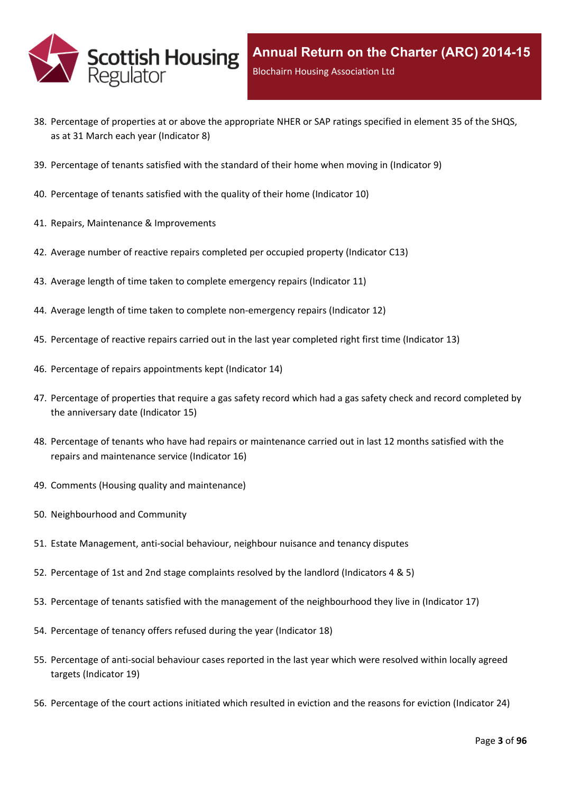

- 38. Percentage of properties at or above the [appropriate](#page-47-0) NHER or SAP ratings specified in element 35 of the SHQS, as at 31 March each year [\(Indicator](#page-47-0) 8)
- 39. [Percentage](#page-48-0) of tenants satisfied with the standard of their home when moving in (Indicator 9)
- 40. [Percentage](#page-49-0) of tenants satisfied with the quality of their home (Indicator 10)
- 41. Repairs, Maintenance & [Improvements](#page-50-0)
- 42. Average number of reactive repairs [completed](#page-51-0) per occupied property (Indicator C13)
- 43. Average length of time taken to complete [emergency](#page-52-0) repairs (Indicator 11)
- 44. Average length of time taken to complete [non-emergency](#page-53-0) repairs (Indicator 12)
- 45. [Percentage](#page-54-0) of reactive repairs carried out in the last year completed right first time (Indicator 13)
- 46. Percentage of repairs [appointments](#page-55-0) kept (Indicator 14)
- 47. [Percentage](#page-56-0) of properties that require a gas safety record which had a gas safety check and record completed by the [anniversary](#page-56-0) date (Indicator 15)
- 48. Percentage of tenants who have had repairs or [maintenance](#page-57-0) carried out in last 12 months satisfied with the repairs and [maintenance](#page-57-0) service (Indicator 16)
- 49. Comments (Housing quality and [maintenance\)](#page-58-0)
- 50. [Neighbourhood](#page-59-0) and Community
- 51. Estate [Management,](#page-60-0) anti-social behaviour, neighbour nuisance and tenancy disputes
- 52. [Percentage](#page-61-0) of 1st and 2nd stage complaints resolved by the landlord (Indicators 4 & 5)
- 53. Percentage of tenants satisfied with the management of the [neighbourhood](#page-64-0) they live in (Indicator 17)
- 54. [Percentage](#page-65-0) of tenancy offers refused during the year (Indicator 18)
- 55. [Percentage](#page-66-0) of anti-social behaviour cases reported in the last year which were resolved within locally agreed targets [\(Indicator](#page-66-0) 19)
- 56. [Percentage](#page-67-0) of the court actions initiated which resulted in eviction and the reasons for eviction (Indicator 24)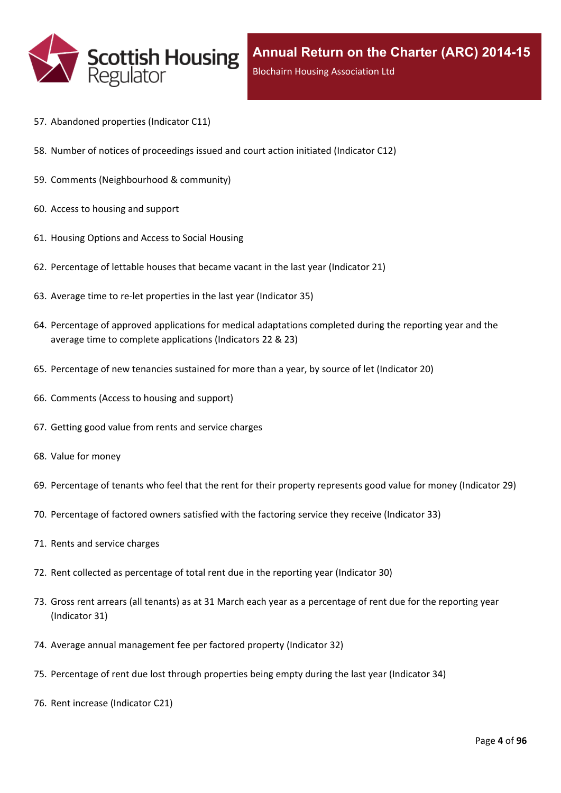

- 57. [Abandoned](#page-68-0) properties (Indicator C11)
- 58. Number of notices of [proceedings](#page-69-0) issued and court action initiated (Indicator C12)
- 59. Comments [\(Neighbourhood](#page-70-0) & community)
- 60. Access to [housing](#page-71-0) and support
- 61. [Housing](#page-72-0) Options and Access to Social Housing
- 62. [Percentage](#page-73-0) of lettable houses that became vacant in the last year (Indicator 21)
- 63. Average time to re-let [properties](#page-74-0) in the last year (Indicator 35)
- 64. Percentage of approved [applications](#page-75-0) for medical adaptations completed during the reporting year and the average time to complete [applications](#page-75-0) (Indicators 22 & 23)
- 65. [Percentage](#page-76-0) of new tenancies sustained for more than a year, by source of let (Indicator 20)
- 66. [Comments](#page-78-0) (Access to housing and support)
- 67. Getting good value from rents and service [charges](#page-79-0)
- 68. Value for [money](#page-80-0)
- 69. [Percentage](#page-81-0) of tenants who feel that the rent for their property represents good value for money (Indicator 29)
- 70. [Percentage](#page-82-0) of factored owners satisfied with the factoring service they receive (Indicator 33)
- 71. Rents and service [charges](#page-83-0)
- 72. Rent collected as [percentage](#page-84-0) of total rent due in the reporting year (Indicator 30)
- 73. Gross rent arrears (all tenants) as at 31 March each year as a [percentage](#page-85-0) of rent due for the reporting year [\(Indicator](#page-85-0) 31)
- 74. Average annual [management](#page-86-0) fee per factored property (Indicator 32)
- 75. [Percentage](#page-87-0) of rent due lost through properties being empty during the last year (Indicator 34)
- 76. Rent increase [\(Indicator](#page-88-0) C21)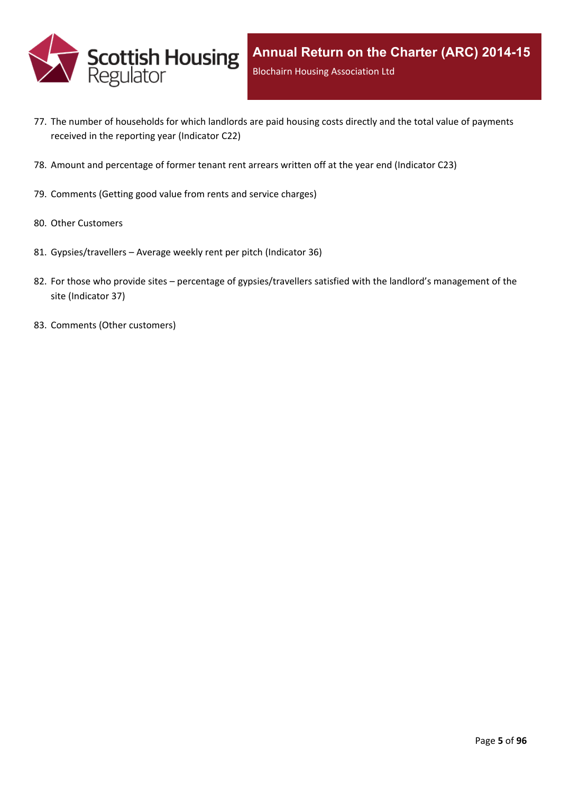

- 77. The number of [households](#page-89-0) for which landlords are paid housing costs directly and the total value of payments received in the reporting year [\(Indicator](#page-89-0) C22)
- 78. Amount and [percentage](#page-90-0) of former tenant rent arrears written off at the year end (Indicator C23)
- 79. [Comments](#page-91-0) (Getting good value from rents and service charges)
- 80. Other [Customers](#page-92-0)
- 81. [Gypsies/travellers](#page-93-0) [–](#page-93-0) Average weekly rent per pitch [\(Indicator](#page-93-0) 36)
- 82. For those who [provide](#page-94-0) sites [–](#page-94-0) percentage of [gypsies/travellers](#page-94-0) satisfied with the landlord's management of the site [\(Indicator](#page-94-0) 37)
- 83. Comments (Other [customers\)](#page-95-0)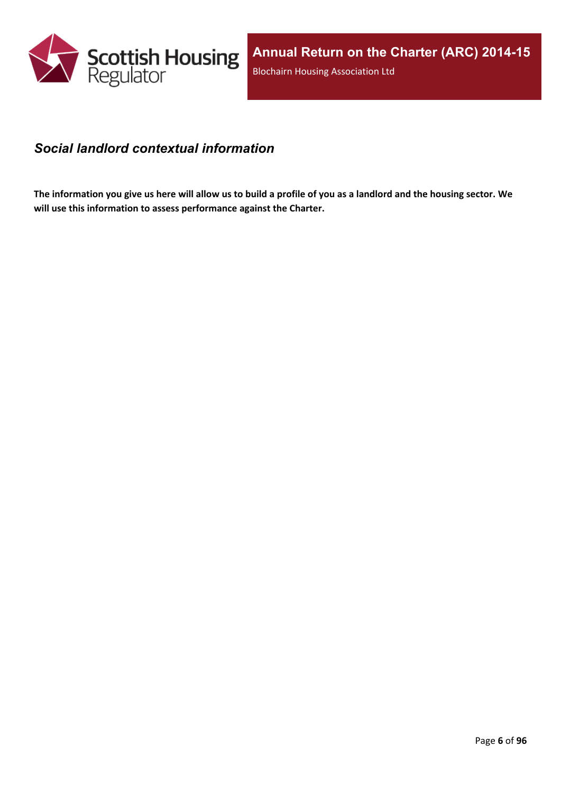

### <span id="page-5-0"></span>*Social landlord contextual information*

The information you give us here will allow us to build a profile of you as a landlord and the housing sector. We **will use this information to assess performance against the Charter.**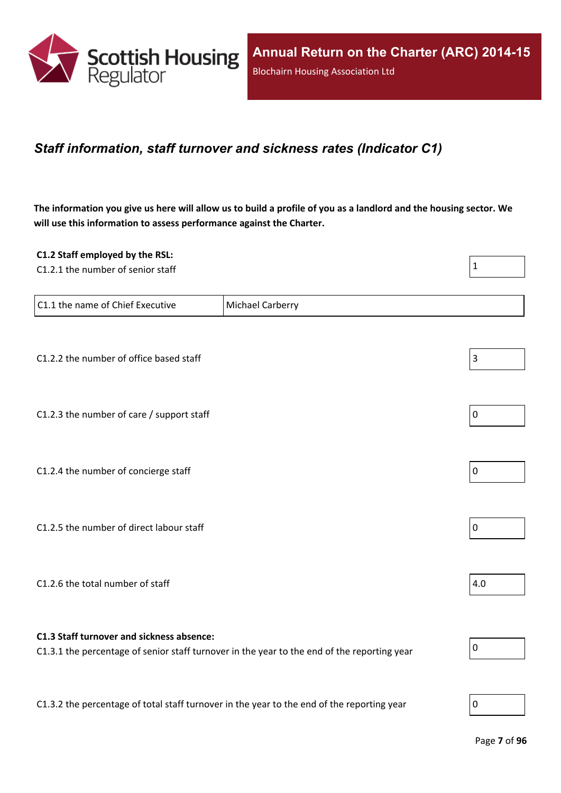

## <span id="page-6-0"></span>*Staff information, staff turnover and sickness rates (Indicator C1)*

The information you give us here will allow us to build a profile of you as a landlord and the housing sector. We **will use this information to assess performance against the Charter.**

| C1.2 Staff employed by the RSL:                                                            |                                                                                             |                |
|--------------------------------------------------------------------------------------------|---------------------------------------------------------------------------------------------|----------------|
| C1.2.1 the number of senior staff                                                          |                                                                                             | $\mathbf 1$    |
|                                                                                            |                                                                                             |                |
| C1.1 the name of Chief Executive                                                           | Michael Carberry                                                                            |                |
|                                                                                            |                                                                                             |                |
|                                                                                            |                                                                                             |                |
| C1.2.2 the number of office based staff                                                    |                                                                                             | $\mathsf 3$    |
|                                                                                            |                                                                                             |                |
| C1.2.3 the number of care / support staff                                                  |                                                                                             | 0              |
|                                                                                            |                                                                                             |                |
|                                                                                            |                                                                                             |                |
| C1.2.4 the number of concierge staff                                                       |                                                                                             | $\overline{0}$ |
|                                                                                            |                                                                                             |                |
| C1.2.5 the number of direct labour staff                                                   |                                                                                             | 0              |
|                                                                                            |                                                                                             |                |
|                                                                                            |                                                                                             |                |
| C1.2.6 the total number of staff                                                           |                                                                                             | 4.0            |
|                                                                                            |                                                                                             |                |
|                                                                                            |                                                                                             |                |
| C1.3 Staff turnover and sickness absence:                                                  | C1.3.1 the percentage of senior staff turnover in the year to the end of the reporting year | 0              |
|                                                                                            |                                                                                             |                |
|                                                                                            |                                                                                             |                |
| C1.3.2 the percentage of total staff turnover in the year to the end of the reporting year |                                                                                             | $\overline{0}$ |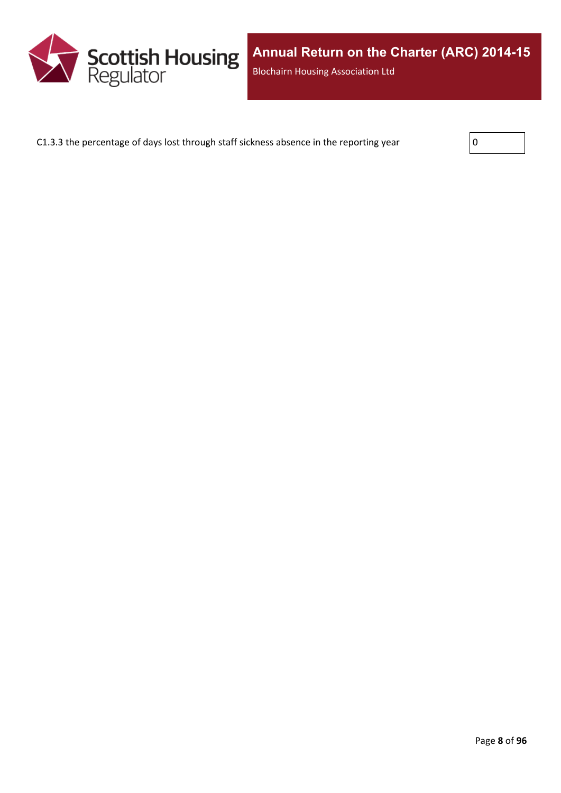

C1.3.3 the percentage of days lost through staff sickness absence in the reporting year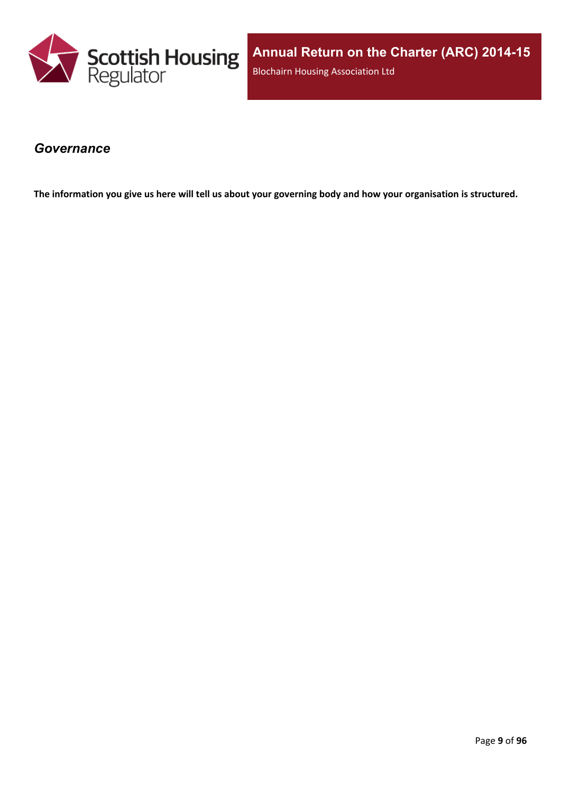

**Annual Return on the Charter (ARC) 2014-15** Blochairn Housing Association Ltd

#### <span id="page-8-0"></span>*Governance*

The information you give us here will tell us about your governing body and how your organisation is structured.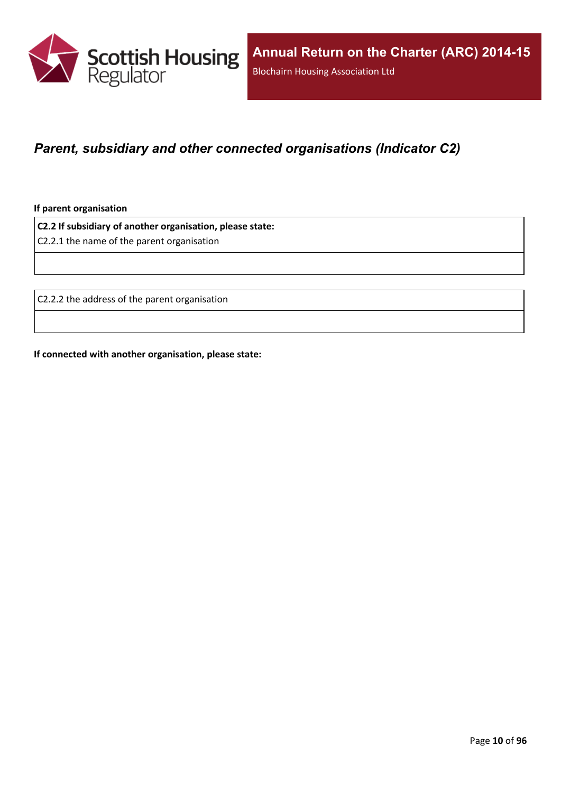

## <span id="page-9-0"></span>*Parent, subsidiary and other connected organisations (Indicator C2)*

**If parent organisation**

**C2.2 If subsidiary of another organisation, please state:**

C2.2.1 the name of the parent organisation

C2.2.2 the address of the parent organisation

**If connected with another organisation, please state:**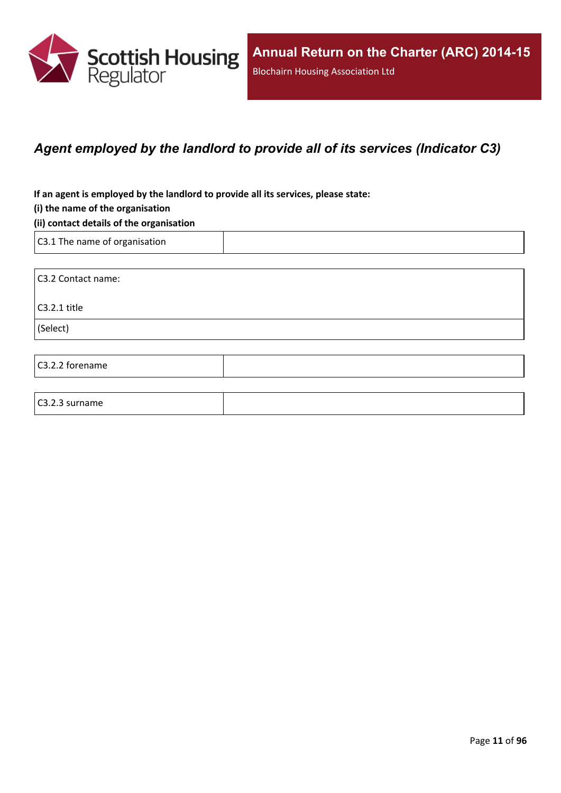

## <span id="page-10-0"></span>*Agent employed by the landlord to provide all of its services (Indicator C3)*

**If an agent is employed by the landlord to provide all its services, please state:**

#### **(i) the name of the organisation**

#### **(ii) contact details of the organisation**

C3.1 The name of organisation

C3.2.3 surname

C3.2 Contact name: C3.2.1 title (Select) C3.2.2 forename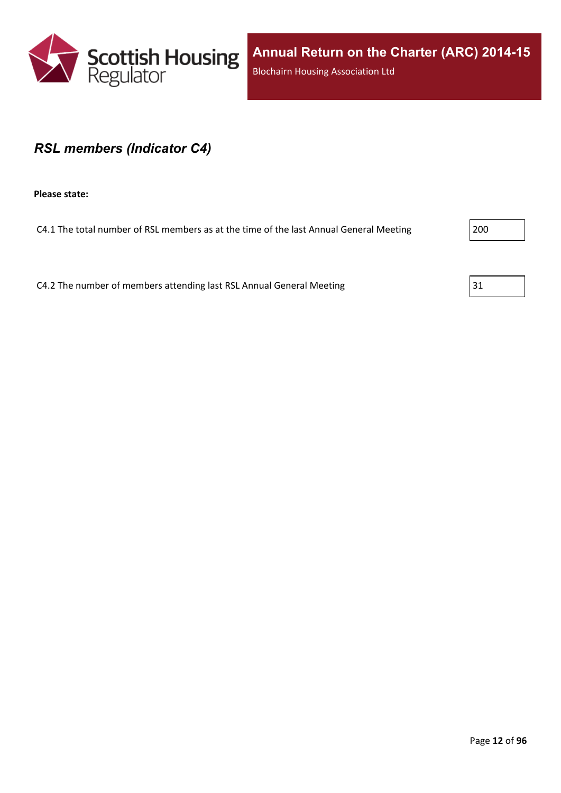

### <span id="page-11-0"></span>*RSL members (Indicator C4)*

**Please state:**

C4.1 The total number of RSL members as at the time of the last Annual General Meeting 200

C4.2 The number of members attending last RSL Annual General Meeting  $31$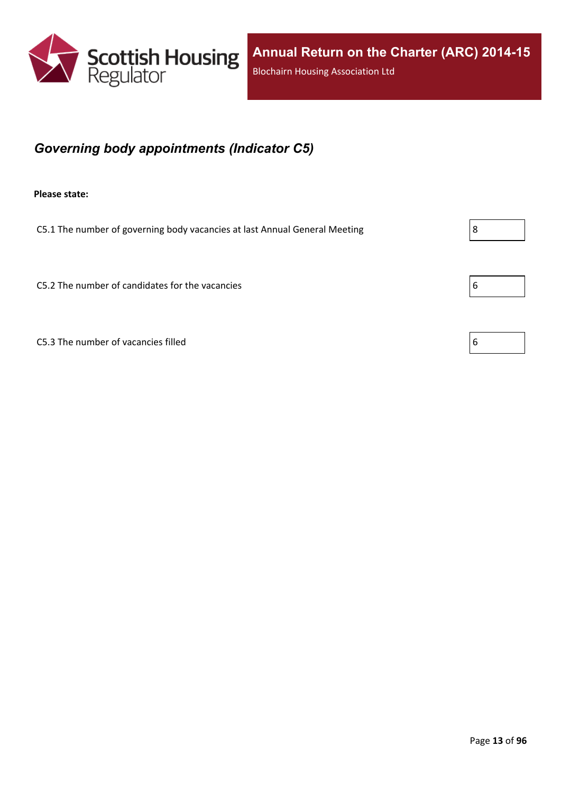

## <span id="page-12-0"></span>*Governing body appointments (Indicator C5)*

**Please state:**

C5.1 The number of governing body vacancies at last Annual General Meeting  $\vert 8 \vert$ 

C5.2 The number of candidates for the vacancies  $\begin{array}{c} \boxed{6} \\ \end{array}$ 

C5.3 The number of vacancies filled  $\vert 6 \vert$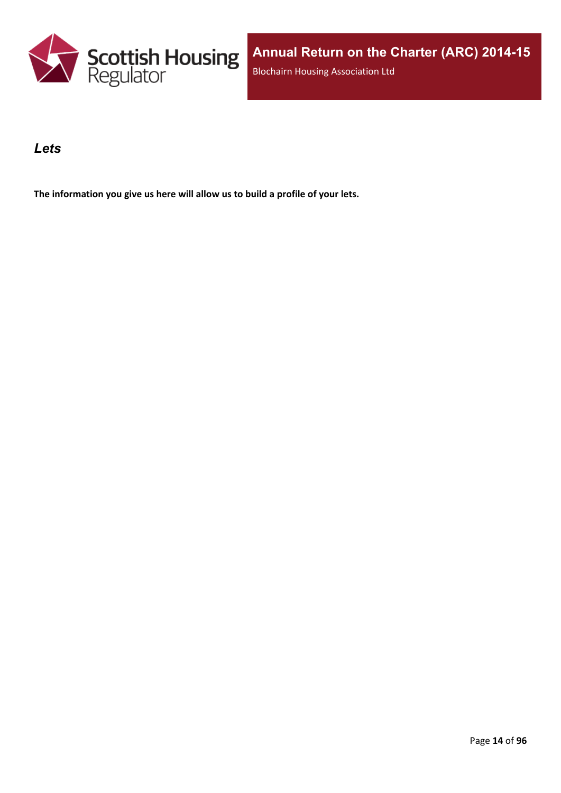

### <span id="page-13-0"></span>*Lets*

**The information you give us here will allow us to build a profile of your lets.**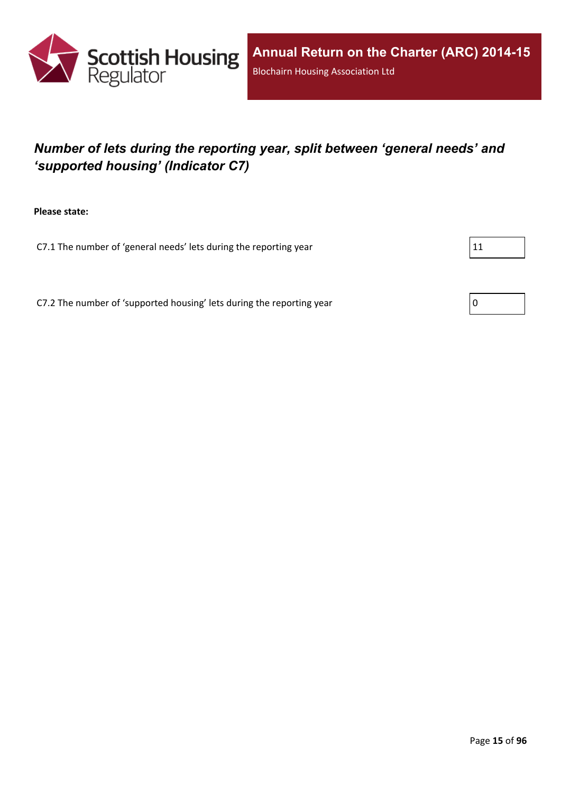

# <span id="page-14-0"></span>*Number of lets during the reporting year, split between 'general needs' and 'supported housing' (Indicator C7)*

**Please state:**

C7.1 The number of 'general needs' lets during the reporting year  $|11|$ 

C7.2 The number of 'supported housing' lets during the reporting year  $\vert 0 \rangle$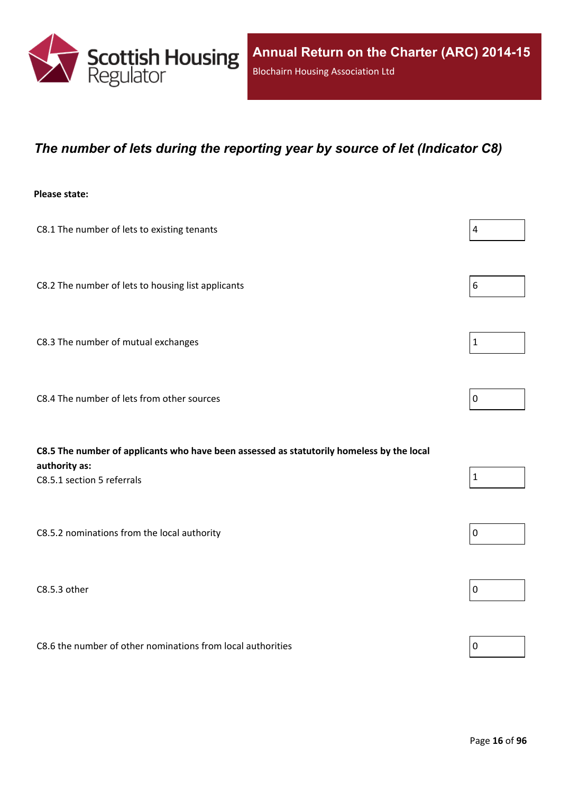

### <span id="page-15-0"></span>*The number of lets during the reporting year by source of let (Indicator C8)*

#### **Please state:**

| C8.1 The number of lets to existing tenants                                                                                              | $\overline{a}$ |
|------------------------------------------------------------------------------------------------------------------------------------------|----------------|
| C8.2 The number of lets to housing list applicants                                                                                       | 6              |
| C8.3 The number of mutual exchanges                                                                                                      | 1              |
| C8.4 The number of lets from other sources                                                                                               | 0              |
| C8.5 The number of applicants who have been assessed as statutorily homeless by the local<br>authority as:<br>C8.5.1 section 5 referrals | 1              |

C8.5.2 nominations from the local authority  $\vert$  0

 $\sim$  C8.5.3 other  $\sim$ 

C8.6 the number of other nominations from local authorities  $\vert_0$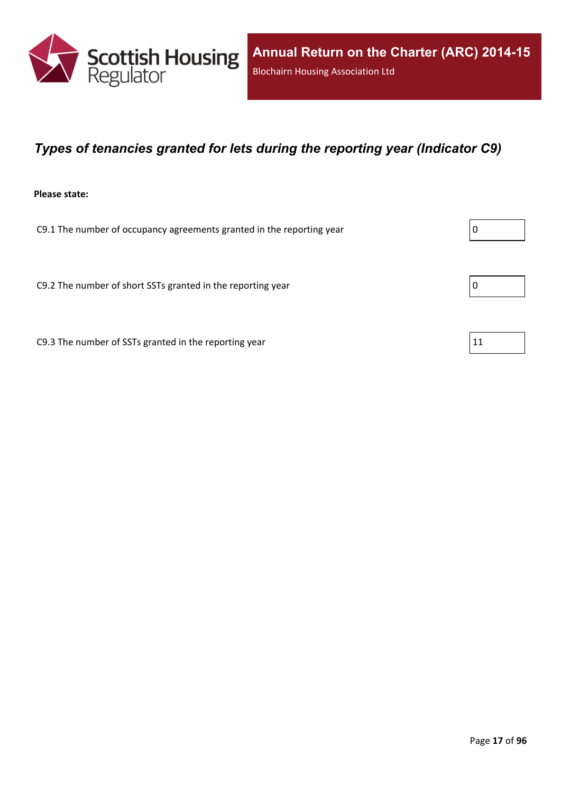

### <span id="page-16-0"></span>*Types of tenancies granted for lets during the reporting year (Indicator C9)*

#### **Please state:**

C9.1 The number of occupancy agreements granted in the reporting year  $\vert 0 \rangle$ 

C9.2 The number of short SSTs granted in the reporting year  $\vert$  0

C9.3 The number of SSTs granted in the reporting year  $11$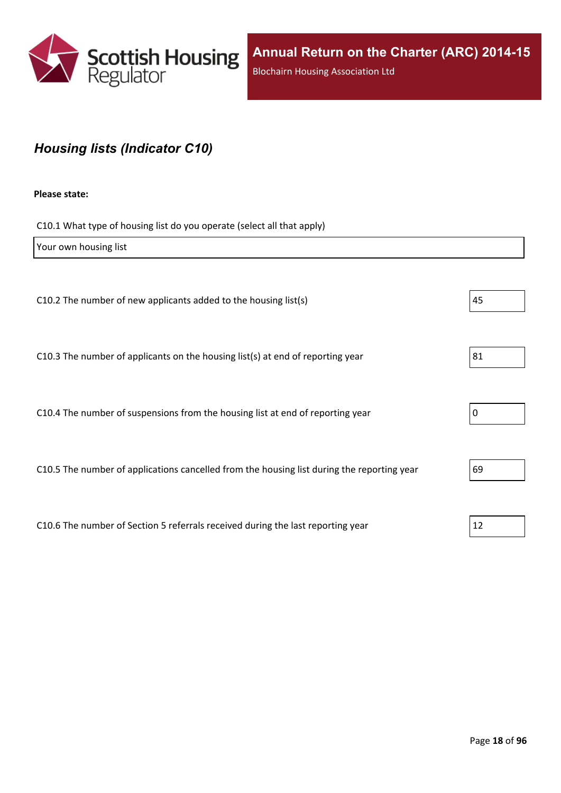

## <span id="page-17-0"></span>*Housing lists (Indicator C10)*

#### **Please state:**

C10.1 What type of housing list do you operate (select all that apply)

| Your own housing list                                                                      |    |
|--------------------------------------------------------------------------------------------|----|
|                                                                                            |    |
| C10.2 The number of new applicants added to the housing list(s)                            | 45 |
|                                                                                            |    |
| C10.3 The number of applicants on the housing list(s) at end of reporting year             | 81 |
|                                                                                            |    |
| C10.4 The number of suspensions from the housing list at end of reporting year             | 0  |
|                                                                                            |    |
| C10.5 The number of applications cancelled from the housing list during the reporting year | 69 |
|                                                                                            |    |
| C10.6 The number of Section 5 referrals received during the last reporting year            | 12 |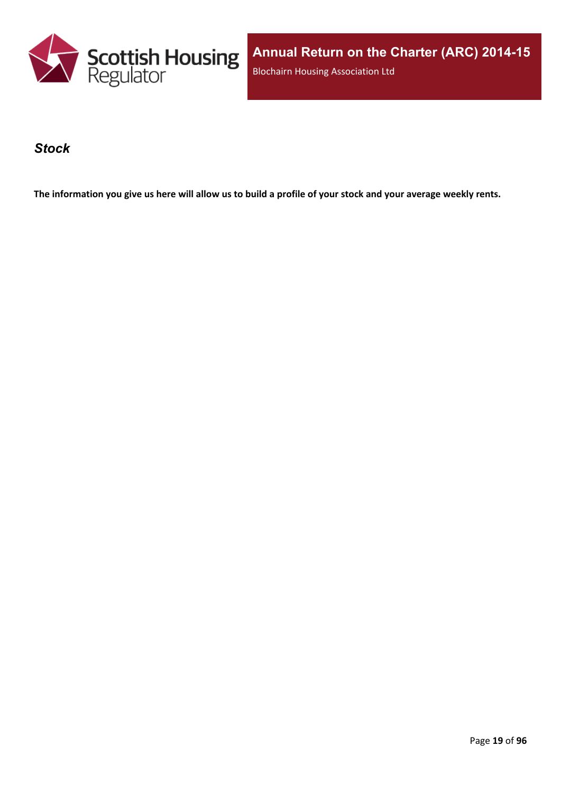

**Annual Return on the Charter (ARC) 2014-15** Blochairn Housing Association Ltd

#### <span id="page-18-0"></span>*Stock*

The information you give us here will allow us to build a profile of your stock and your average weekly rents.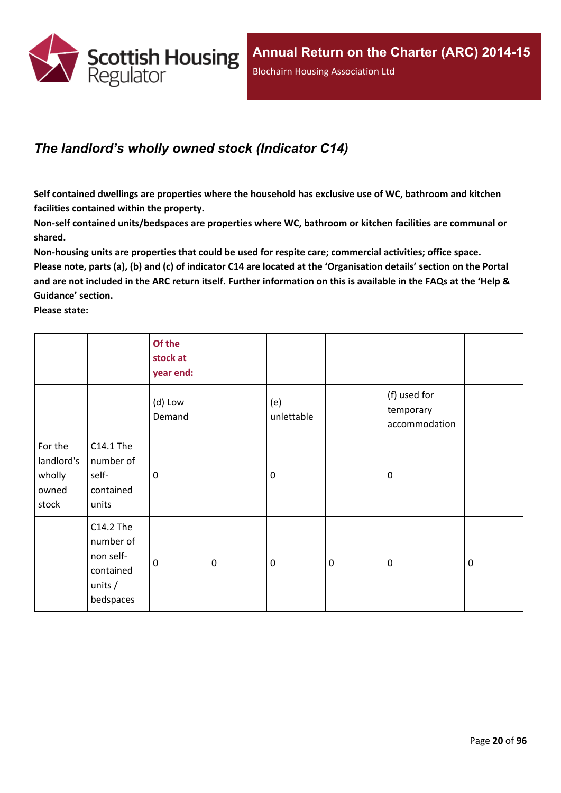

## <span id="page-19-0"></span>*The landlord's wholly owned stock (Indicator C14)*

**Self contained dwellings are properties where the household has exclusive use of WC, bathroom and kitchen facilities contained within the property.**

**Non-self contained units/bedspaces are properties where WC, bathroom or kitchen facilities are communal or shared.**

**Non-housing units are properties that could be used for respite care; commercial activities; office space.** Please note, parts (a), (b) and (c) of indicator C14 are located at the 'Organisation details' section on the Portal and are not included in the ARC return itself. Further information on this is available in the FAQs at the 'Help & **Guidance' section.**

**Please state:**

|                                                   |                                                                            | Of the<br>stock at<br>year end: |                  |                   |           |                                            |             |
|---------------------------------------------------|----------------------------------------------------------------------------|---------------------------------|------------------|-------------------|-----------|--------------------------------------------|-------------|
|                                                   |                                                                            | (d) Low<br>Demand               |                  | (e)<br>unlettable |           | (f) used for<br>temporary<br>accommodation |             |
| For the<br>landlord's<br>wholly<br>owned<br>stock | C14.1 The<br>number of<br>self-<br>contained<br>units                      | 0                               |                  | $\mathbf 0$       |           | $\mathbf 0$                                |             |
|                                                   | C14.2 The<br>number of<br>non self-<br>contained<br>units $/$<br>bedspaces | $\mathbf 0$                     | $\boldsymbol{0}$ | $\boldsymbol{0}$  | $\pmb{0}$ | $\mathbf 0$                                | $\mathbf 0$ |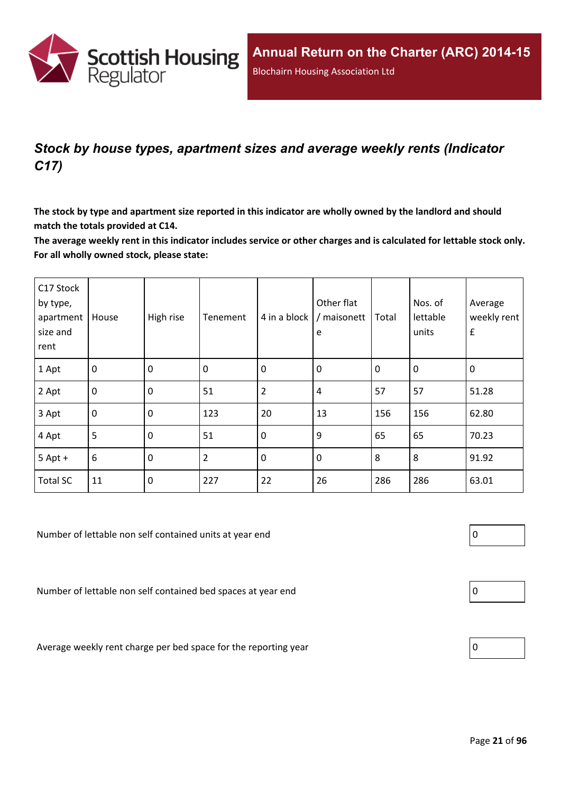

## <span id="page-20-0"></span>*Stock by house types, apartment sizes and average weekly rents (Indicator C17)*

The stock by type and apartment size reported in this indicator are wholly owned by the landlord and should **match the totals provided at C14.**

The average weekly rent in this indicator includes service or other charges and is calculated for lettable stock only. **For all wholly owned stock, please state:**

| C17 Stock<br>by type,<br>apartment<br>size and<br>rent | House          | High rise        | Tenement | 4 in a block     | Other flat<br>/ maisonett<br>e | Total       | Nos. of<br>lettable<br>units | Average<br>weekly rent<br>$\pmb{\mathsf{f}}$ |
|--------------------------------------------------------|----------------|------------------|----------|------------------|--------------------------------|-------------|------------------------------|----------------------------------------------|
| 1 Apt                                                  | $\overline{0}$ | $\mathbf 0$      | 0        | $\mathbf 0$      | 0                              | $\mathbf 0$ | 0                            | $\mathbf 0$                                  |
| 2 Apt                                                  | $\overline{0}$ | $\mathbf 0$      | 51       | $\overline{2}$   | 4                              | 57          | 57                           | 51.28                                        |
| 3 Apt                                                  | $\overline{0}$ | $\mathbf 0$      | 123      | 20               | 13                             | 156         | 156                          | 62.80                                        |
| 4 Apt                                                  | 5              | $\boldsymbol{0}$ | 51       | $\mathbf 0$      | 9                              | 65          | 65                           | 70.23                                        |
| $5$ Apt +                                              | $6\,$          | 0                | 2        | $\boldsymbol{0}$ | $\boldsymbol{0}$               | 8           | 8                            | 91.92                                        |
| <b>Total SC</b>                                        | 11             | $\mathbf 0$      | 227      | 22               | 26                             | 286         | 286                          | 63.01                                        |

Number of lettable non self contained units at year end  $\vert 0 \rangle$ 

Number of lettable non self contained bed spaces at year end  $\vert 0 \rangle$ 

Average weekly rent charge per bed space for the reporting year



| l<br>Π |  |
|--------|--|
|        |  |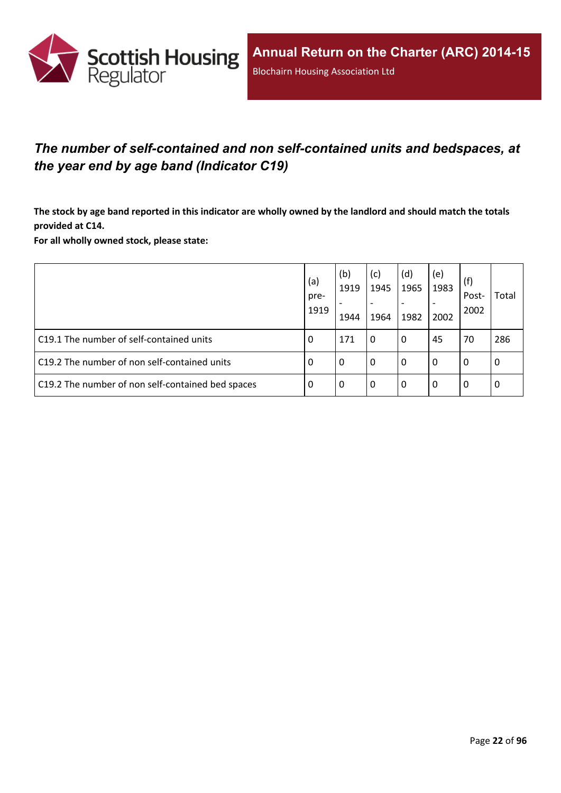

## <span id="page-21-0"></span>*The number of self-contained and non self-contained units and bedspaces, at the year end by age band (Indicator C19)*

The stock by age band reported in this indicator are wholly owned by the landlord and should match the totals **provided at C14.**

**For all wholly owned stock, please state:**

|                                                   | (a)<br>pre-<br>1919 | (b)<br>1919<br>1944 | (c)<br>1945<br>1964 | (d)<br>1965<br>1982 | (e)<br>1983<br>2002 | (f)<br>Post-<br>2002 | Total |
|---------------------------------------------------|---------------------|---------------------|---------------------|---------------------|---------------------|----------------------|-------|
| C19.1 The number of self-contained units          | 0                   | 171                 | 0                   | 0                   | 45                  | 70                   | 286   |
| C19.2 The number of non self-contained units      | 0                   | $\Omega$            | 0                   | 0                   | 0                   | 0                    | 0     |
| C19.2 The number of non self-contained bed spaces | 0                   | 0                   | 0                   | 0                   | 0                   | 0                    | 0     |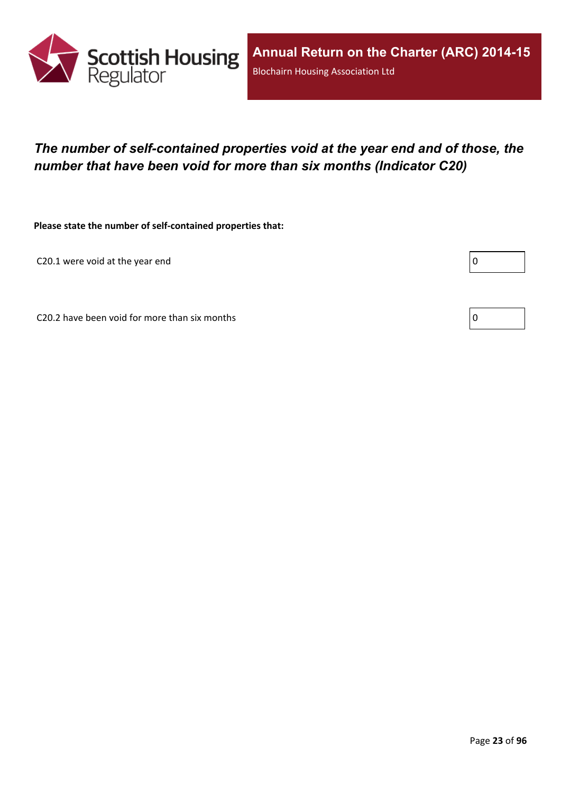

## <span id="page-22-0"></span>*The number of self-contained properties void at the year end and of those, the number that have been void for more than six months (Indicator C20)*

**Please state the number of self-contained properties that:**

C20.1 were void at the year end

Г

C20.2 have been void for more than six months  $\vert 0 \rangle$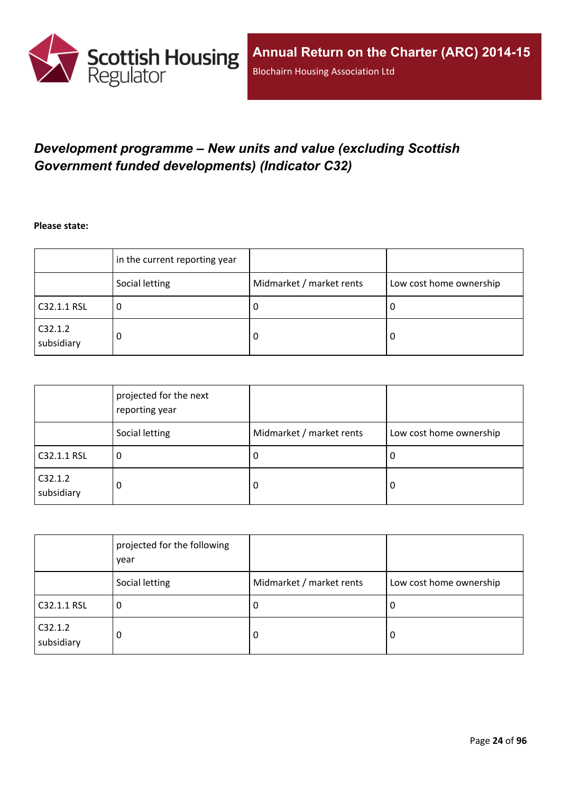

## <span id="page-23-0"></span>*Development programme – New units and value (excluding Scottish Government funded developments) (Indicator C32)*

**Please state:**

|                       | in the current reporting year |                          |                         |
|-----------------------|-------------------------------|--------------------------|-------------------------|
|                       | Social letting                | Midmarket / market rents | Low cost home ownership |
| C32.1.1 RSL           | υ                             | υ                        | ∣U                      |
| C32.1.2<br>subsidiary | 0                             | υ                        | -0                      |

|                       | projected for the next<br>reporting year |                          |                         |
|-----------------------|------------------------------------------|--------------------------|-------------------------|
|                       | Social letting                           | Midmarket / market rents | Low cost home ownership |
| C32.1.1 RSL           | 0                                        | J.                       | 0                       |
| C32.1.2<br>subsidiary | 0                                        | 0                        | 0                       |

|                       | projected for the following<br>year |                          |                         |
|-----------------------|-------------------------------------|--------------------------|-------------------------|
|                       | Social letting                      | Midmarket / market rents | Low cost home ownership |
| C32.1.1 RSL           | 0                                   | -U                       | 0                       |
| C32.1.2<br>subsidiary | 0                                   | 0                        | 0                       |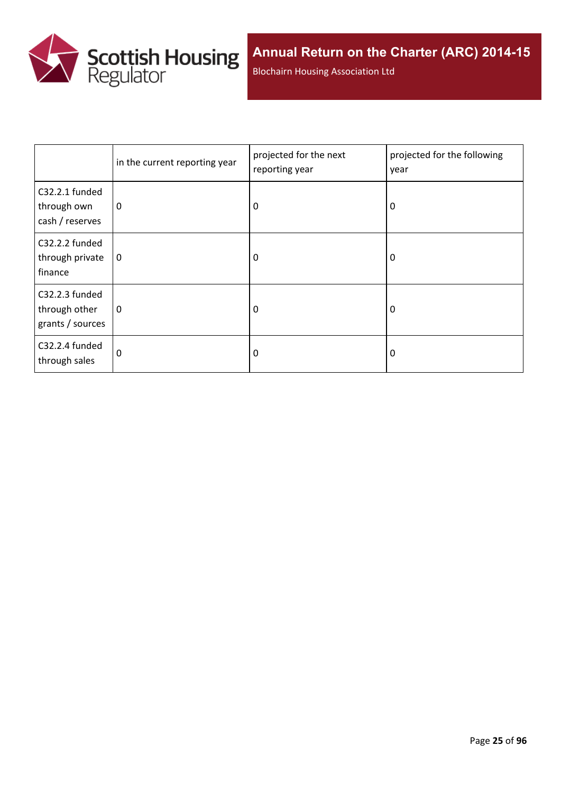

Blochairn Housing Association Ltd

|                                                     | in the current reporting year | projected for the next<br>reporting year | projected for the following<br>year |
|-----------------------------------------------------|-------------------------------|------------------------------------------|-------------------------------------|
| C32.2.1 funded<br>through own<br>cash / reserves    | 0                             | 0                                        | 0                                   |
| C32.2.2 funded<br>through private<br>finance        | 0                             | 0                                        | 0                                   |
| C32.2.3 funded<br>through other<br>grants / sources | 0                             | 0                                        | 0                                   |
| C32.2.4 funded<br>through sales                     | 0                             | 0                                        | 0                                   |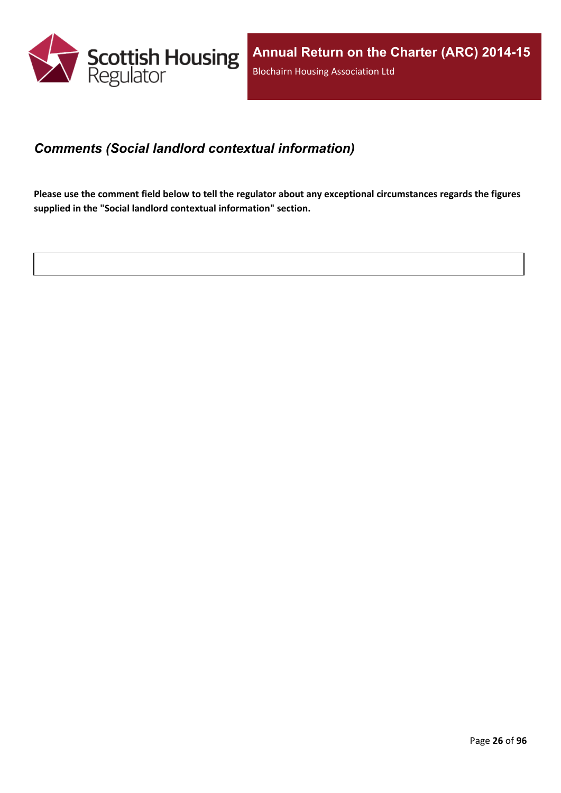

## <span id="page-25-0"></span>*Comments (Social landlord contextual information)*

Please use the comment field below to tell the regulator about any exceptional circumstances regards the figures **supplied in the "Social landlord contextual information" section.**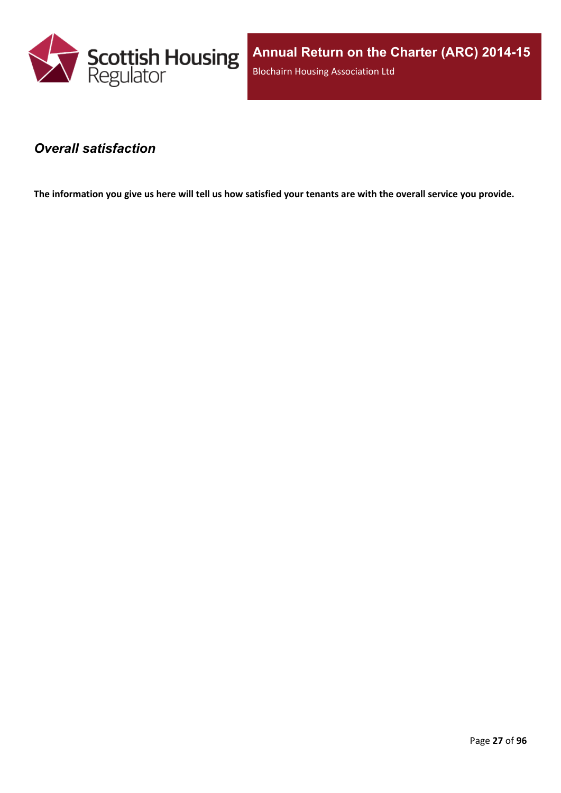

**Annual Return on the Charter (ARC) 2014-15** Blochairn Housing Association Ltd

### <span id="page-26-0"></span>*Overall satisfaction*

The information you give us here will tell us how satisfied your tenants are with the overall service you provide.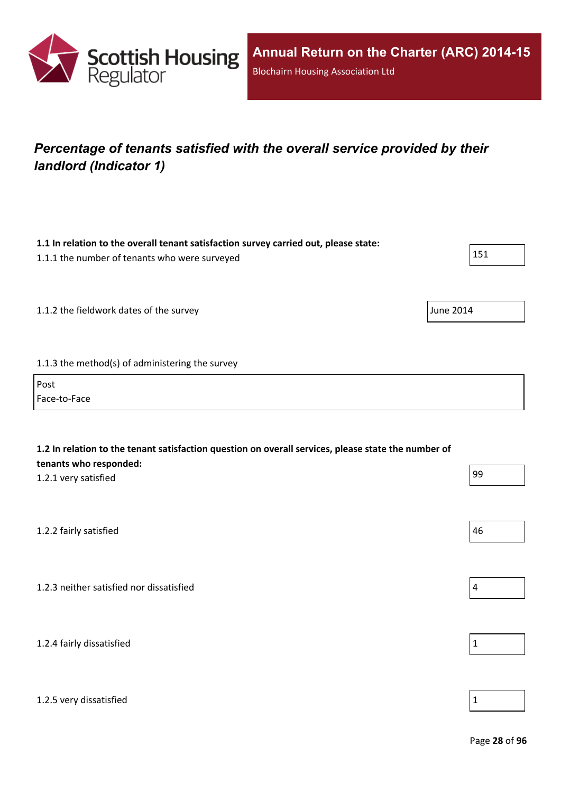

# <span id="page-27-0"></span>*Percentage of tenants satisfied with the overall service provided by their landlord (Indicator 1)*

| 1.1 In relation to the overall tenant satisfaction survey carried out, please state:<br>1.1.1 the number of tenants who were surveyed                 | 151              |
|-------------------------------------------------------------------------------------------------------------------------------------------------------|------------------|
| 1.1.2 the fieldwork dates of the survey                                                                                                               | <b>June 2014</b> |
| 1.1.3 the method(s) of administering the survey                                                                                                       |                  |
| Post<br>Face-to-Face                                                                                                                                  |                  |
| 1.2 In relation to the tenant satisfaction question on overall services, please state the number of<br>tenants who responded:<br>1.2.1 very satisfied | 99               |
| 1.2.2 fairly satisfied                                                                                                                                | 46               |
| 1.2.3 neither satisfied nor dissatisfied                                                                                                              | $\overline{4}$   |
| 1.2.4 fairly dissatisfied                                                                                                                             | $\mathbf 1$      |
|                                                                                                                                                       |                  |

1.2.5 very dissatisfied  $\vert$  1

Page **28** of **96**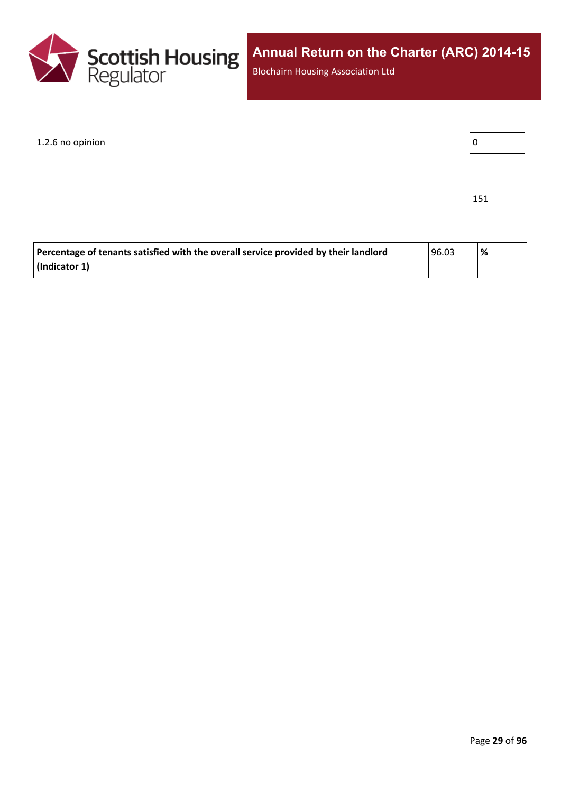

Blochairn Housing Association Ltd

#### 1.2.6 no opinion



| Percentage of tenants satisfied with the overall service provided by their landlord | 96.03 | '% |
|-------------------------------------------------------------------------------------|-------|----|
| (Indicator 1)                                                                       |       |    |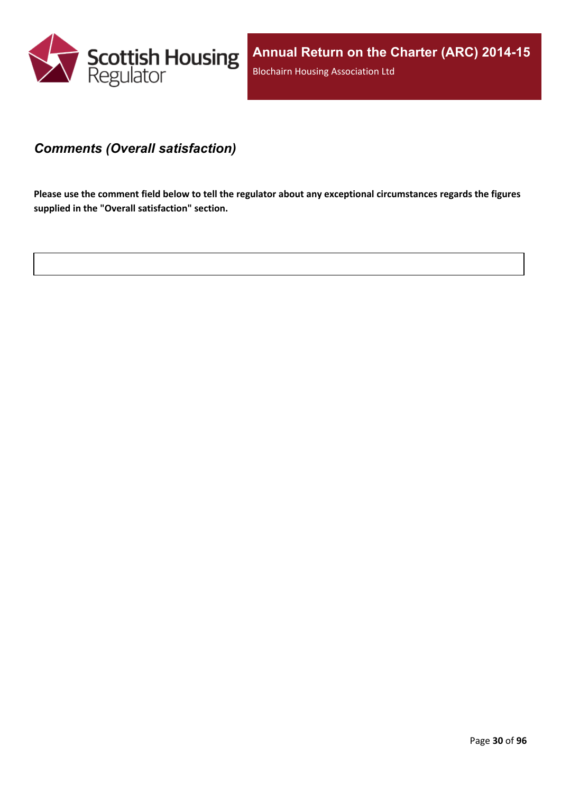

### <span id="page-29-0"></span>*Comments (Overall satisfaction)*

Please use the comment field below to tell the regulator about any exceptional circumstances regards the figures **supplied in the "Overall satisfaction" section.**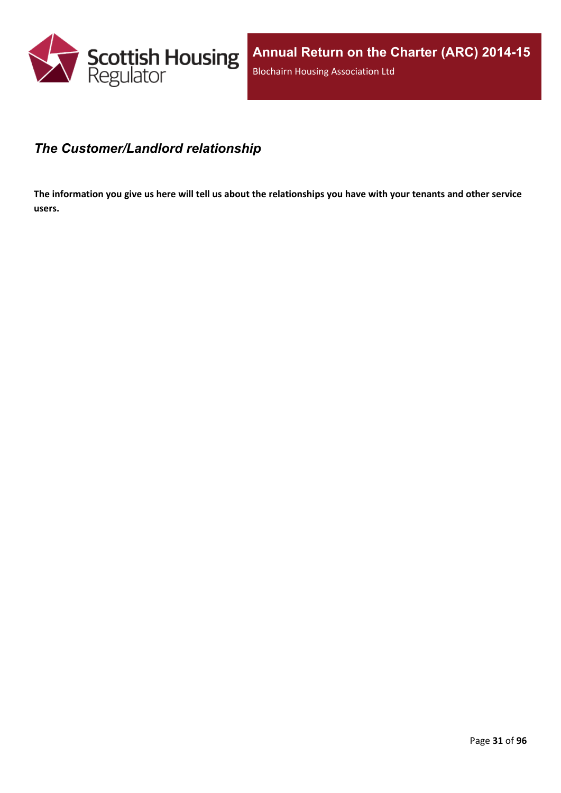

### <span id="page-30-0"></span>*The Customer/Landlord relationship*

The information you give us here will tell us about the relationships you have with your tenants and other service **users.**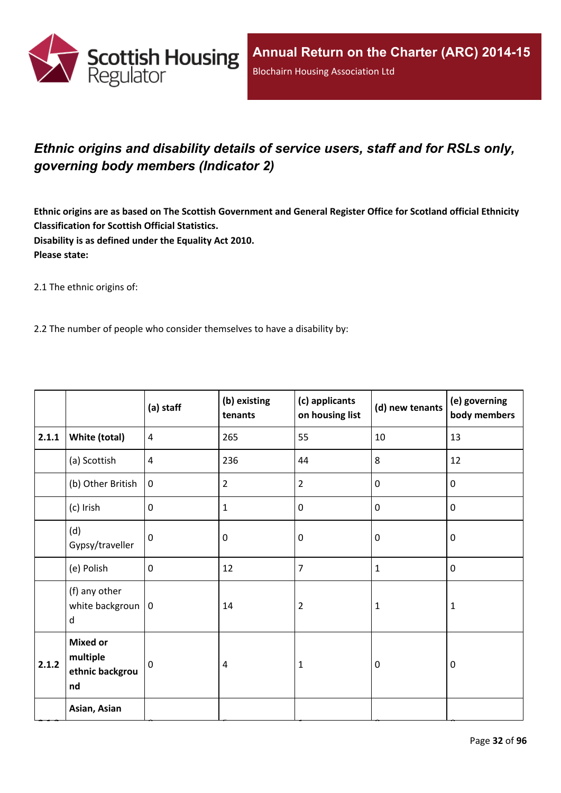

## <span id="page-31-0"></span>*Ethnic origins and disability details of service users, staff and for RSLs only, governing body members (Indicator 2)*

Ethnic origins are as based on The Scottish Government and General Register Office for Scotland official Ethnicity **Classification for Scottish Official Statistics. Disability is as defined under the Equality Act 2010. Please state:**

2.1 The ethnic origins of:

2.2 The number of people who consider themselves to have a disability by:

|       |                                                      | (a) staff      | (b) existing<br>tenants | (c) applicants<br>on housing list | (d) new tenants | (e) governing<br>body members |
|-------|------------------------------------------------------|----------------|-------------------------|-----------------------------------|-----------------|-------------------------------|
| 2.1.1 | <b>White (total)</b>                                 | $\overline{4}$ | 265                     | 55                                | 10              | 13                            |
|       | (a) Scottish                                         | $\overline{4}$ | 236                     | 44                                | 8               | 12                            |
|       | (b) Other British                                    | $\mathbf 0$    | $\overline{2}$          | $\overline{2}$                    | $\mathbf 0$     | $\mathbf 0$                   |
|       | (c) Irish                                            | $\mathbf 0$    | $\mathbf{1}$            | $\mathbf 0$                       | $\pmb{0}$       | $\mathbf 0$                   |
|       | (d)<br>Gypsy/traveller                               | $\mathbf 0$    | 0                       | $\mathbf 0$                       | $\mathbf 0$     | $\mathbf 0$                   |
|       | (e) Polish                                           | $\mathbf 0$    | 12                      | $\overline{7}$                    | $\mathbf{1}$    | $\mathbf 0$                   |
|       | (f) any other<br>white backgroun $ 0$<br>d           |                | 14                      | $\overline{2}$                    | $\mathbf{1}$    | $\mathbf{1}$                  |
| 2.1.2 | <b>Mixed or</b><br>multiple<br>ethnic backgrou<br>nd | $\mathbf 0$    | 4                       | $\mathbf{1}$                      | $\mathbf 0$     | $\mathbf 0$                   |
|       | Asian, Asian                                         |                |                         |                                   |                 |                               |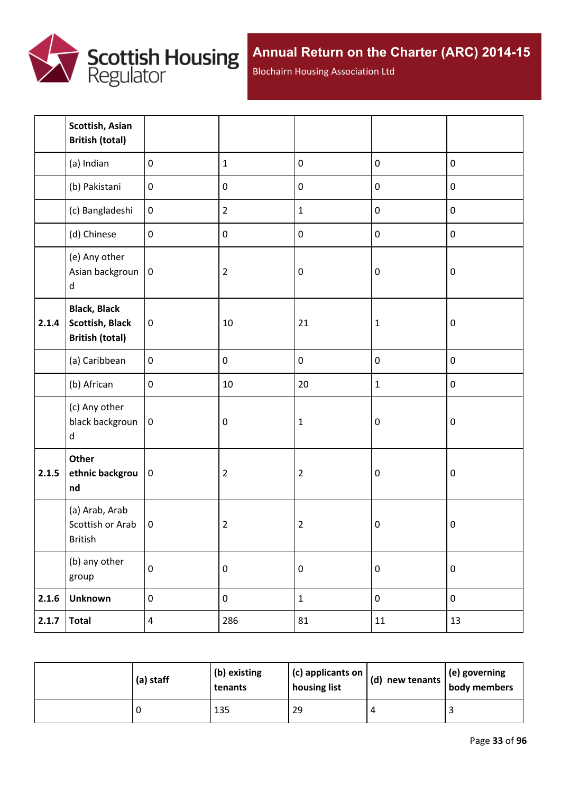

Blochairn Housing Association Ltd

|       | Scottish, Asian<br><b>British (total)</b>                               |                  |                |                |                  |           |
|-------|-------------------------------------------------------------------------|------------------|----------------|----------------|------------------|-----------|
|       | (a) Indian                                                              | $\mathbf 0$      | $\mathbf{1}$   | $\pmb{0}$      | $\pmb{0}$        | $\pmb{0}$ |
|       | (b) Pakistani                                                           | $\boldsymbol{0}$ | $\pmb{0}$      | $\pmb{0}$      | $\pmb{0}$        | $\pmb{0}$ |
|       | (c) Bangladeshi                                                         | $\boldsymbol{0}$ | $\overline{2}$ | $\mathbf{1}$   | $\pmb{0}$        | $\pmb{0}$ |
|       | (d) Chinese                                                             | $\mathbf 0$      | $\pmb{0}$      | $\mathbf 0$    | $\pmb{0}$        | $\pmb{0}$ |
|       | (e) Any other<br>Asian backgroun<br>$\sf d$                             | $\boldsymbol{0}$ | $\overline{2}$ | $\mathbf 0$    | $\boldsymbol{0}$ | $\pmb{0}$ |
| 2.1.4 | <b>Black, Black</b><br><b>Scottish, Black</b><br><b>British (total)</b> | $\pmb{0}$        | 10             | 21             | $\mathbf{1}$     | $\pmb{0}$ |
|       | (a) Caribbean                                                           | $\mathbf 0$      | $\pmb{0}$      | $\pmb{0}$      | $\pmb{0}$        | $\pmb{0}$ |
|       | (b) African                                                             | $\pmb{0}$        | 10             | 20             | $\mathbf{1}$     | $\pmb{0}$ |
|       | (c) Any other<br>black backgroun<br>d                                   | $\pmb{0}$        | $\pmb{0}$      | $\mathbf 1$    | $\boldsymbol{0}$ | $\pmb{0}$ |
| 2.1.5 | Other<br>ethnic backgrou<br>nd                                          | $\pmb{0}$        | $\overline{2}$ | $\overline{2}$ | $\boldsymbol{0}$ | $\pmb{0}$ |
|       | (a) Arab, Arab<br>Scottish or Arab<br>British                           | $\mathbf 0$      | $\overline{2}$ | $\overline{2}$ | $\boldsymbol{0}$ | $\pmb{0}$ |
|       | (b) any other<br>group                                                  | $\pmb{0}$        | $\pmb{0}$      | $\pmb{0}$      | $\pmb{0}$        | $\pmb{0}$ |
| 2.1.6 | <b>Unknown</b>                                                          | $\pmb{0}$        | $\pmb{0}$      | $\mathbf 1$    | $\boldsymbol{0}$ | $\pmb{0}$ |
| 2.1.7 | <b>Total</b>                                                            | $\overline{4}$   | 286            | 81             | 11               | 13        |

| (a) staff | (b) existing<br>tenants | $(c)$ applicants on<br>housing list | $\vert$ (d) new tenants $\vert$ . | $\vert$ (e) governing<br>body members |
|-----------|-------------------------|-------------------------------------|-----------------------------------|---------------------------------------|
|           | 135                     | 29                                  |                                   |                                       |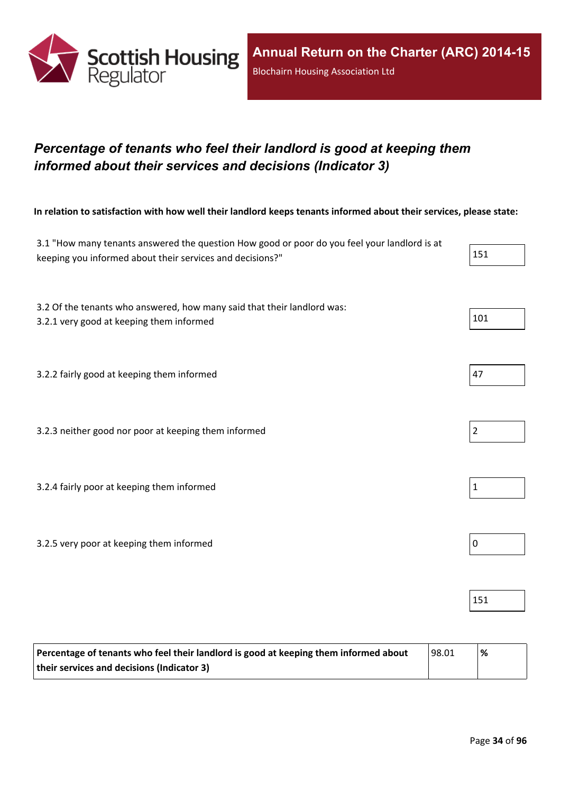

## <span id="page-33-0"></span>*Percentage of tenants who feel their landlord is good at keeping them informed about their services and decisions (Indicator 3)*

In relation to satisfaction with how well their landlord keeps tenants informed about their services, please state:

| 3.1 "How many tenants answered the question How good or poor do you feel your landlord is at<br>keeping you informed about their services and decisions?" | 151            |
|-----------------------------------------------------------------------------------------------------------------------------------------------------------|----------------|
| 3.2 Of the tenants who answered, how many said that their landlord was:<br>3.2.1 very good at keeping them informed                                       | 101            |
| 3.2.2 fairly good at keeping them informed                                                                                                                | 47             |
| 3.2.3 neither good nor poor at keeping them informed                                                                                                      | $\overline{2}$ |
| 3.2.4 fairly poor at keeping them informed                                                                                                                | $\mathbf{1}$   |
| 3.2.5 very poor at keeping them informed                                                                                                                  | $\mathbf 0$    |
|                                                                                                                                                           | 151            |

| Percentage of tenants who feel their landlord is good at keeping them informed about | 98.01 | '% |
|--------------------------------------------------------------------------------------|-------|----|
| their services and decisions (Indicator 3)                                           |       |    |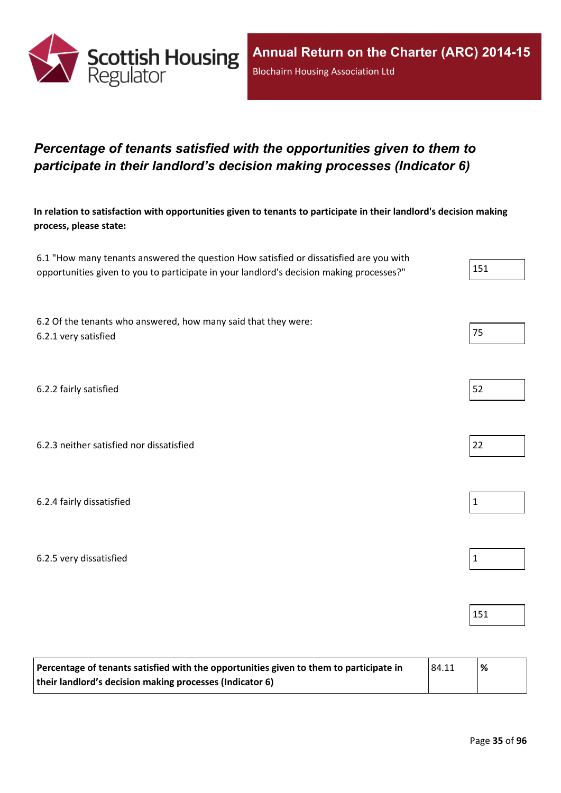

## <span id="page-34-0"></span>*Percentage of tenants satisfied with the opportunities given to them to participate in their landlord's decision making processes (Indicator 6)*

In relation to satisfaction with opportunities given to tenants to participate in their landlord's decision making **process, please state:**

| 6.1 "How many tenants answered the question How satisfied or dissatisfied are you with   |     |
|------------------------------------------------------------------------------------------|-----|
| opportunities given to you to participate in your landlord's decision making processes?" | 151 |

6.2 Of the tenants who answered, how many said that they were: 6.2.1 very satisfied 75

6.2.2 fairly satisfied 52

6.2.3 neither satisfied nor dissatisfied 22

6.2.4 fairly dissatisfied 1

6.2.5 very dissatisfied and a set of the set of the set of the set of the set of the set of the set of the set of the set of the set of the set of the set of the set of the set of the set of the set of the set of the set o

| Percentage of tenants satisfied with the opportunities given to them to participate in<br> 84.11 |  | '% |
|--------------------------------------------------------------------------------------------------|--|----|
| their landlord's decision making processes (Indicator 6)                                         |  |    |







151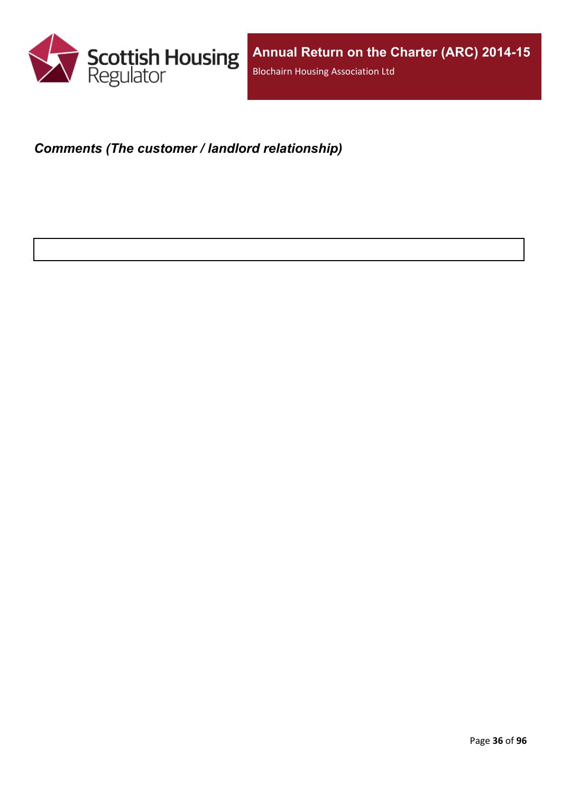

## <span id="page-35-0"></span>*Comments (The customer / landlord relationship)*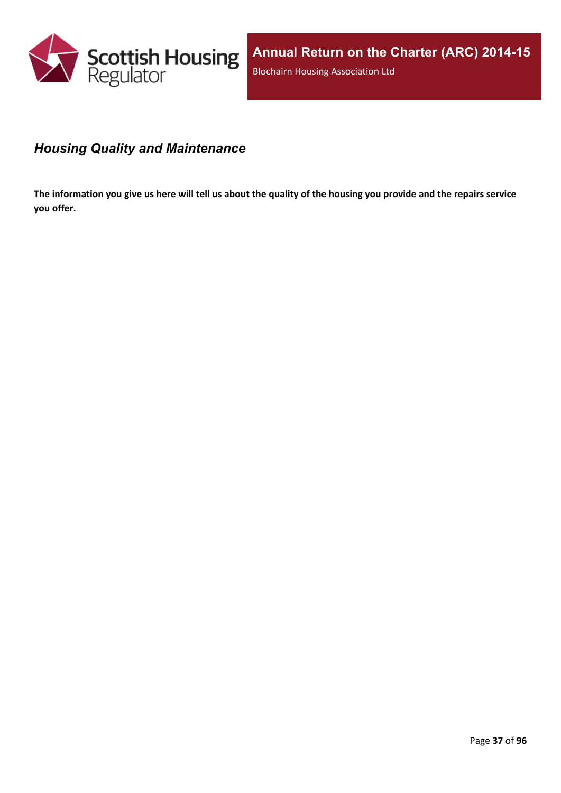

# *Housing Quality and Maintenance*

The information you give us here will tell us about the quality of the housing you provide and the repairs service **you offer.**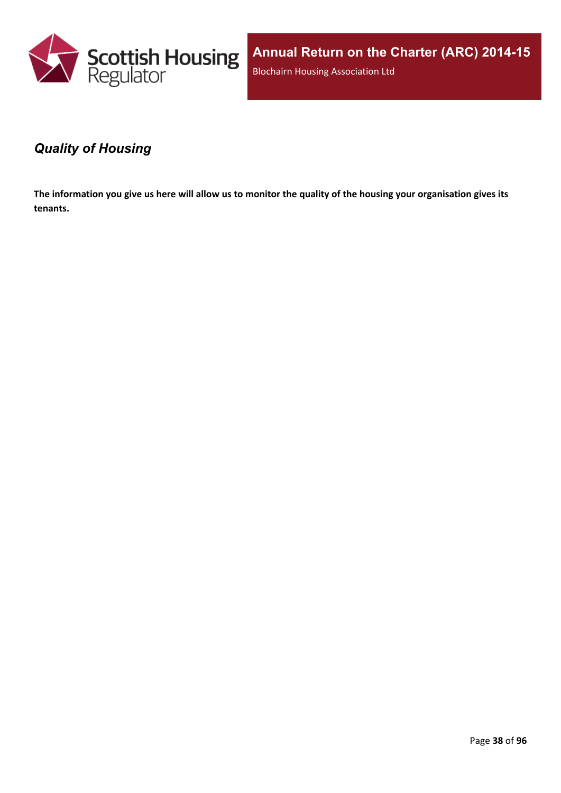

**Annual Return on the Charter (ARC) 2014-15** Blochairn Housing Association Ltd

### *Quality of Housing*

The information you give us here will allow us to monitor the quality of the housing your organisation gives its **tenants.**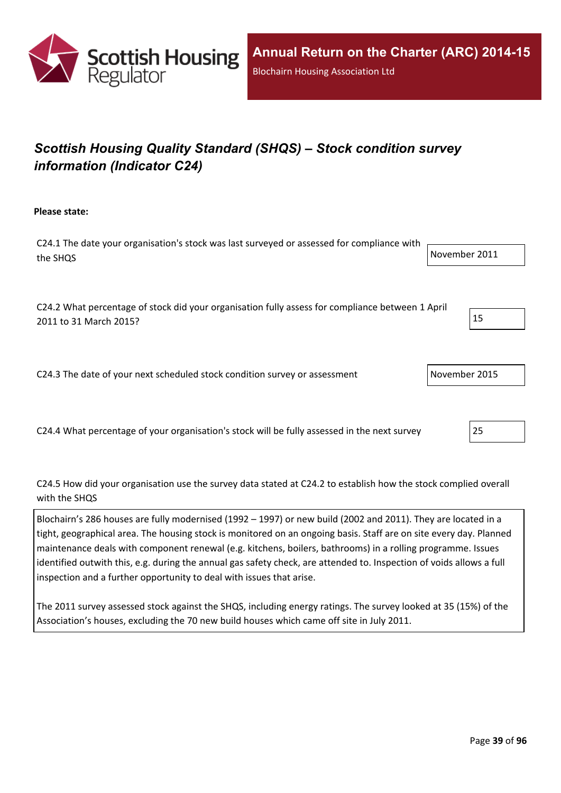

# *Scottish Housing Quality Standard (SHQS) – Stock condition survey information (Indicator C24)*

**Please state:**

C24.1 The date your organisation's stock was last surveyed or assessed for compliance with the SHQS November 2011

C24.2 What percentage of stock did your organisation fully assess for compliance between 1 April 2011 to 31 March 2015? 2011 15

C24.3 The date of your next scheduled stock condition survey or assessment November 2015

C24.4 What percentage of your organisation's stock will be fully assessed in the next survey 25

C24.5 How did your organisation use the survey data stated at C24.2 to establish how the stock complied overall with the SHOS

Blochairn's 286 houses are fully modernised (1992 – 1997) or new build (2002 and 2011). They are located in a tight, geographical area. The housing stock is monitored on an ongoing basis. Staff are on site every day. Planned maintenance deals with component renewal (e.g. kitchens, boilers, bathrooms) in a rolling programme. Issues identified outwith this, e.g. during the annual gas safety check, are attended to. Inspection of voids allows a full inspection and a further opportunity to deal with issues that arise.

The 2011 survey assessed stock against the SHQS, including energy ratings. The survey looked at 35 (15%) of the Association's houses, excluding the 70 new build houses which came off site in July 2011.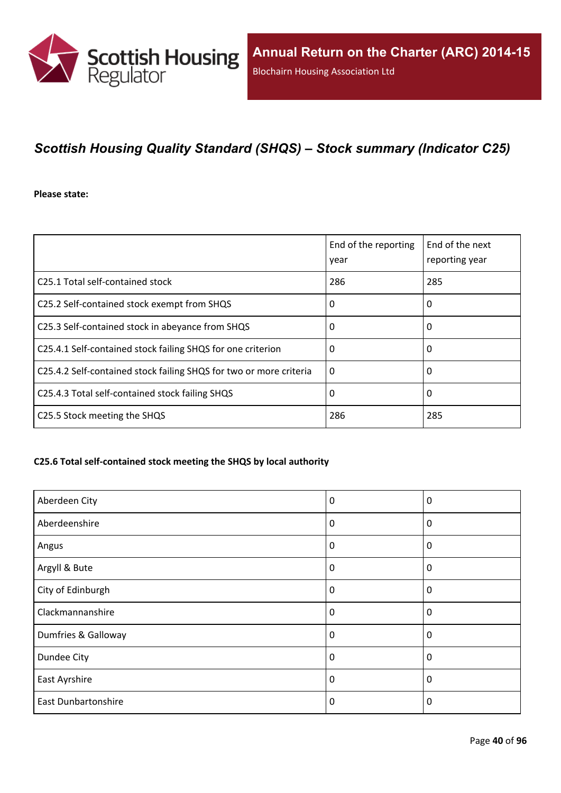

# *Scottish Housing Quality Standard (SHQS) – Stock summary (Indicator C25)*

#### **Please state:**

|                                                                    | End of the reporting<br>year | End of the next<br>reporting year |
|--------------------------------------------------------------------|------------------------------|-----------------------------------|
| C25.1 Total self-contained stock                                   | 286                          | 285                               |
| C25.2 Self-contained stock exempt from SHQS                        | 0                            | 0                                 |
| C25.3 Self-contained stock in abeyance from SHQS                   | 0                            | 0                                 |
| C25.4.1 Self-contained stock failing SHQS for one criterion        | 0                            | 0                                 |
| C25.4.2 Self-contained stock failing SHQS for two or more criteria | $\Omega$                     | 0                                 |
| C25.4.3 Total self-contained stock failing SHQS                    | 0                            | 0                                 |
| C25.5 Stock meeting the SHQS                                       | 286                          | 285                               |

#### **C25.6 Total self-contained stock meeting the SHQS by local authority**

| Aberdeen City              | 0        | 0           |
|----------------------------|----------|-------------|
| Aberdeenshire              | 0        | $\mathbf 0$ |
| Angus                      | 0        | $\mathbf 0$ |
| Argyll & Bute              | 0        | 0           |
| City of Edinburgh          | 0        | $\mathbf 0$ |
| Clackmannanshire           | 0        | 0           |
| Dumfries & Galloway        | $\Omega$ | $\Omega$    |
| Dundee City                | $\Omega$ | 0           |
| East Ayrshire              | 0        | 0           |
| <b>East Dunbartonshire</b> | $\Omega$ | 0           |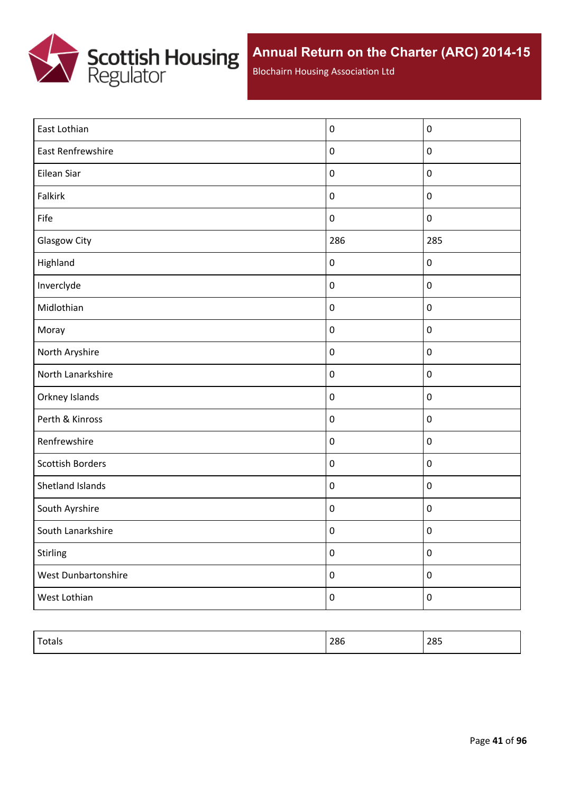

Blochairn Housing Association Ltd

| East Lothian            | $\pmb{0}$        | $\boldsymbol{0}$ |
|-------------------------|------------------|------------------|
| East Renfrewshire       | $\pmb{0}$        | $\pmb{0}$        |
| Eilean Siar             | $\pmb{0}$        | $\boldsymbol{0}$ |
| Falkirk                 | $\pmb{0}$        | $\boldsymbol{0}$ |
| Fife                    | $\pmb{0}$        | $\pmb{0}$        |
| Glasgow City            | 286              | 285              |
| Highland                | $\pmb{0}$        | $\boldsymbol{0}$ |
| Inverclyde              | $\pmb{0}$        | $\pmb{0}$        |
| Midlothian              | $\pmb{0}$        | $\boldsymbol{0}$ |
| Moray                   | $\pmb{0}$        | $\pmb{0}$        |
| North Aryshire          | $\pmb{0}$        | $\pmb{0}$        |
| North Lanarkshire       | $\pmb{0}$        | $\pmb{0}$        |
| Orkney Islands          | $\pmb{0}$        | $\boldsymbol{0}$ |
| Perth & Kinross         | $\pmb{0}$        | $\pmb{0}$        |
| Renfrewshire            | $\pmb{0}$        | $\pmb{0}$        |
| <b>Scottish Borders</b> | $\pmb{0}$        | $\pmb{0}$        |
| Shetland Islands        | $\pmb{0}$        | $\boldsymbol{0}$ |
| South Ayrshire          | $\pmb{0}$        | $\boldsymbol{0}$ |
| South Lanarkshire       | $\pmb{0}$        | $\pmb{0}$        |
| Stirling                | $\pmb{0}$        | $\pmb{0}$        |
| West Dunbartonshire     | $\pmb{0}$        | $\pmb{0}$        |
| West Lothian            | $\boldsymbol{0}$ | $\pmb{0}$        |

| $T_{\text{other}}$<br>Totals | 286 | 285 |
|------------------------------|-----|-----|
|                              |     |     |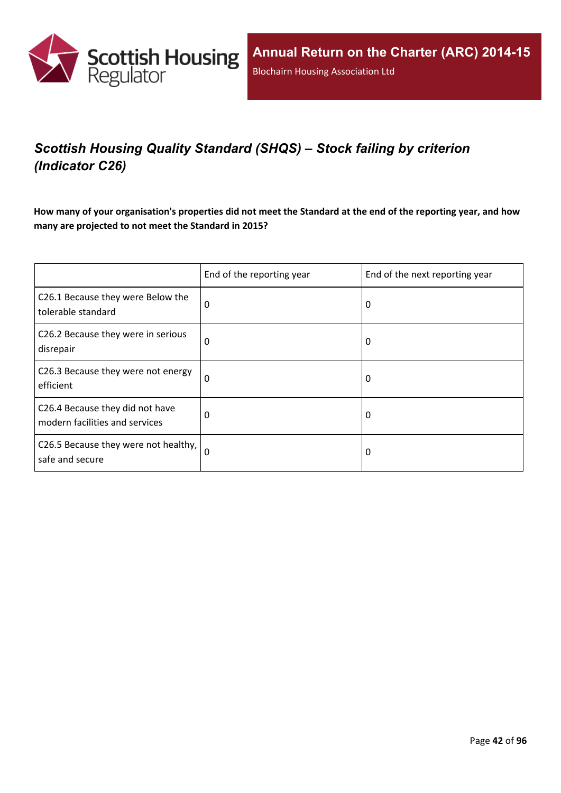

# *Scottish Housing Quality Standard (SHQS) – Stock failing by criterion (Indicator C26)*

How many of your organisation's properties did not meet the Standard at the end of the reporting year, and how **many are projected to not meet the Standard in 2015?**

|                                                                   | End of the reporting year | End of the next reporting year |
|-------------------------------------------------------------------|---------------------------|--------------------------------|
| C26.1 Because they were Below the<br>tolerable standard           | 0                         | 0                              |
| C26.2 Because they were in serious<br>disrepair                   | 0                         | 0                              |
| C26.3 Because they were not energy<br>efficient                   | 0                         | 0                              |
| C26.4 Because they did not have<br>modern facilities and services | 0                         | 0                              |
| C26.5 Because they were not healthy,<br>safe and secure           | 0                         | 0                              |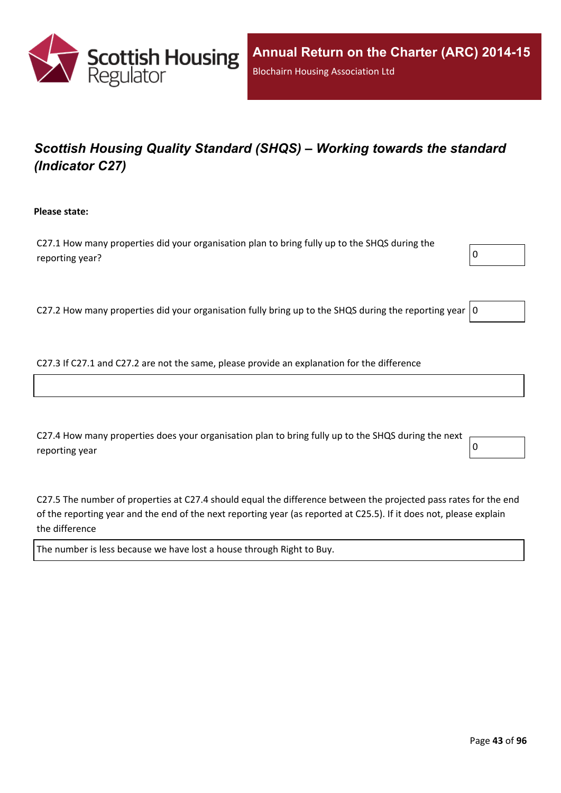

# *Scottish Housing Quality Standard (SHQS) – Working towards the standard (Indicator C27)*

**Please state:**

C27.1 How many properties did your organisation plan to bring fully up to the SHQS during the reporting year?  $\boxed{0}$ 

C27.2 How many properties did your organisation fully bring up to the SHQS during the reporting year  $|0$ 

C27.3 If C27.1 and C27.2 are not the same, please provide an explanation for the difference

C27.4 How many properties does your organisation plan to bring fully up to the SHQS during the next reporting year  $\begin{bmatrix} 0 \end{bmatrix}$ 

C27.5 The number of properties at C27.4 should equal the difference between the projected pass rates for the end of the reporting year and the end of the next reporting year (as reported at C25.5). If it does not, please explain the difference

The number is less because we have lost a house through Right to Buy.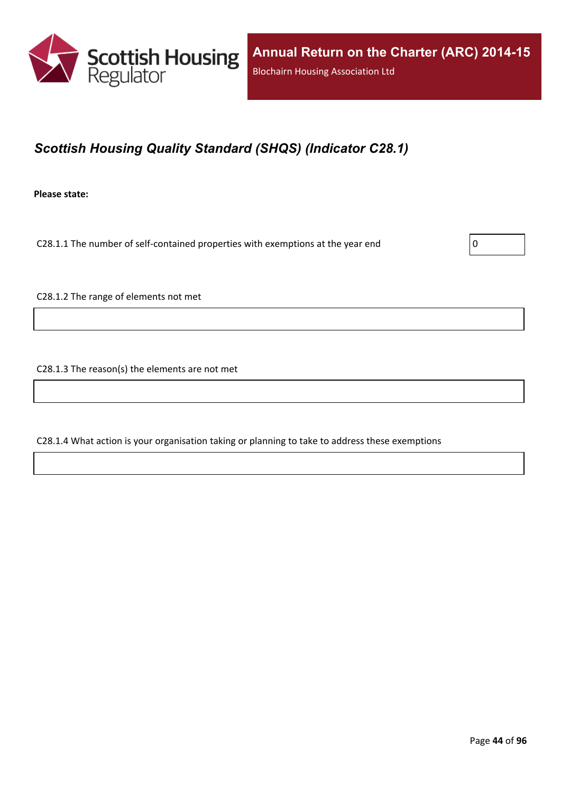

## *Scottish Housing Quality Standard (SHQS) (Indicator C28.1)*

**Please state:**

C28.1.1 The number of self-contained properties with exemptions at the year end  $\vert$  0

C28.1.2 The range of elements not met

C28.1.3 The reason(s) the elements are not met

C28.1.4 What action is your organisation taking or planning to take to address these exemptions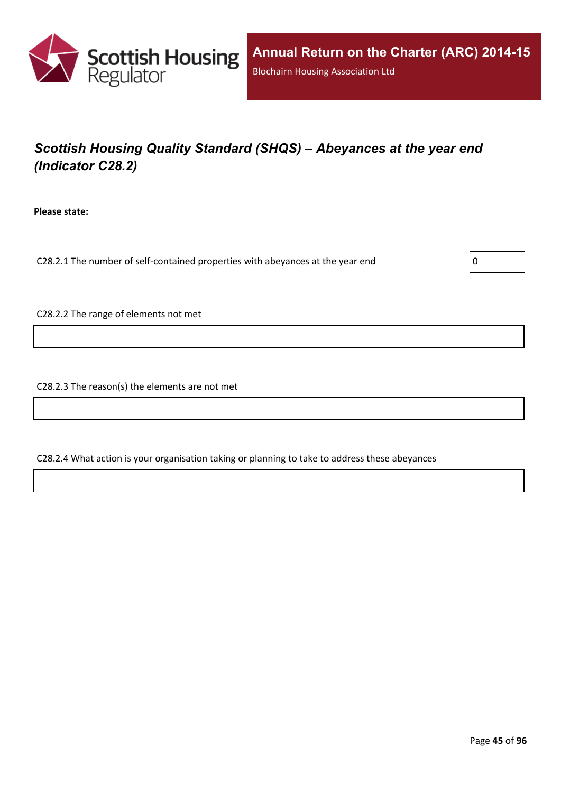

# *Scottish Housing Quality Standard (SHQS) – Abeyances at the year end (Indicator C28.2)*

**Please state:**

C28.2.1 The number of self-contained properties with abeyances at the year end  $\vert$  0

C28.2.2 The range of elements not met

C28.2.3 The reason(s) the elements are not met

C28.2.4 What action is your organisation taking or planning to take to address these abeyances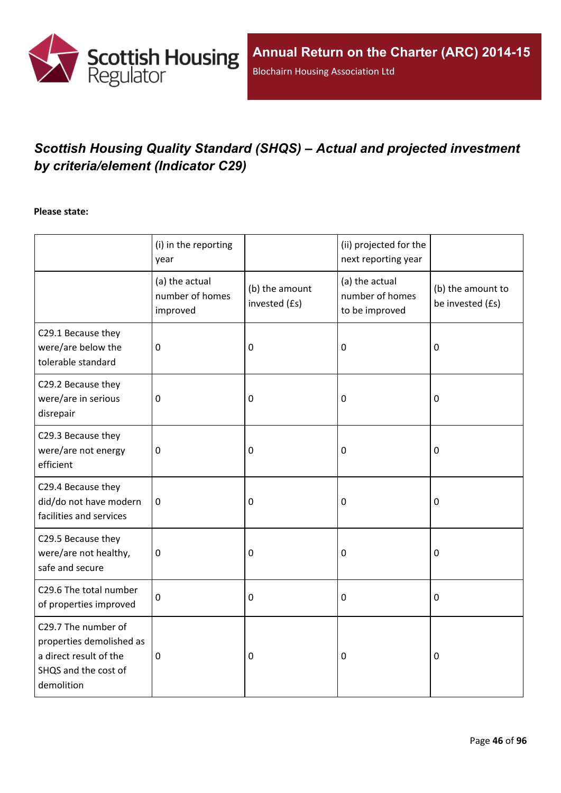

# *Scottish Housing Quality Standard (SHQS) – Actual and projected investment by criteria/element (Indicator C29)*

#### **Please state:**

|                                                                                                                 | (i) in the reporting<br>year                  |                                 | (ii) projected for the<br>next reporting year       |                                       |
|-----------------------------------------------------------------------------------------------------------------|-----------------------------------------------|---------------------------------|-----------------------------------------------------|---------------------------------------|
|                                                                                                                 | (a) the actual<br>number of homes<br>improved | (b) the amount<br>invested (£s) | (a) the actual<br>number of homes<br>to be improved | (b) the amount to<br>be invested (£s) |
| C29.1 Because they<br>were/are below the<br>tolerable standard                                                  | $\mathbf 0$                                   | $\mathbf 0$                     | 0                                                   | $\mathbf 0$                           |
| C29.2 Because they<br>were/are in serious<br>disrepair                                                          | $\mathbf 0$                                   | $\pmb{0}$                       | 0                                                   | $\boldsymbol{0}$                      |
| C29.3 Because they<br>were/are not energy<br>efficient                                                          | $\mathbf 0$                                   | $\mathbf 0$                     | 0                                                   | $\mathbf 0$                           |
| C29.4 Because they<br>did/do not have modern<br>facilities and services                                         | $\mathbf 0$                                   | $\mathbf 0$                     | 0                                                   | $\boldsymbol{0}$                      |
| C29.5 Because they<br>were/are not healthy,<br>safe and secure                                                  | $\boldsymbol{0}$                              | $\mathbf 0$                     | 0                                                   | $\boldsymbol{0}$                      |
| C29.6 The total number<br>of properties improved                                                                | $\mathbf 0$                                   | $\mathbf 0$                     | 0                                                   | $\mathbf 0$                           |
| C29.7 The number of<br>properties demolished as<br>a direct result of the<br>SHQS and the cost of<br>demolition | $\pmb{0}$                                     | $\mathbf 0$                     | 0                                                   | $\mathbf 0$                           |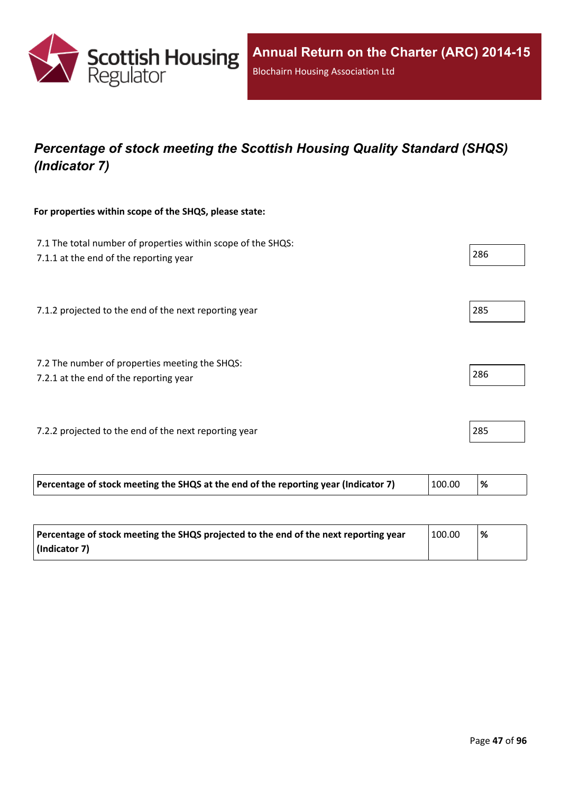

## *Percentage of stock meeting the Scottish Housing Quality Standard (SHQS) (Indicator 7)*

#### **For properties within scope of the SHQS, please state:**

| 7.1 The total number of properties within scope of the SHQS:<br>7.1.1 at the end of the reporting year |        | 286 |
|--------------------------------------------------------------------------------------------------------|--------|-----|
| 7.1.2 projected to the end of the next reporting year                                                  |        | 285 |
| 7.2 The number of properties meeting the SHQS:<br>7.2.1 at the end of the reporting year               |        | 286 |
| 7.2.2 projected to the end of the next reporting year                                                  |        | 285 |
| Percentage of stock meeting the SHQS at the end of the reporting year (Indicator 7)                    | 100.00 | %   |

| Percentage of stock meeting the SHQS projected to the end of the next reporting year | 100.00 | ℅ |
|--------------------------------------------------------------------------------------|--------|---|
| (Indicator 7)                                                                        |        |   |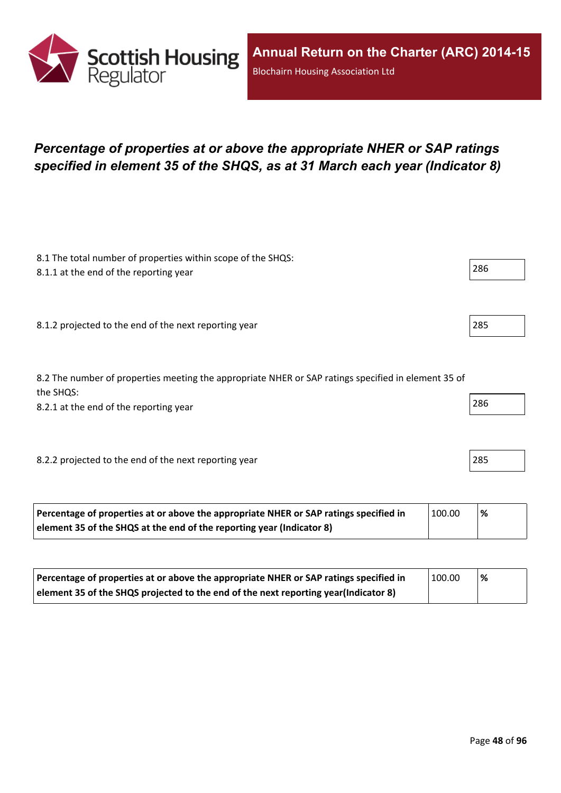

## *Percentage of properties at or above the appropriate NHER or SAP ratings specified in element 35 of the SHQS, as at 31 March each year (Indicator 8)*

| 8.1 The total number of properties within scope of the SHQS:<br>8.1.1 at the end of the reporting year           | 286 |
|------------------------------------------------------------------------------------------------------------------|-----|
|                                                                                                                  |     |
| 8.1.2 projected to the end of the next reporting year                                                            | 285 |
|                                                                                                                  |     |
| 8.2 The number of properties meeting the appropriate NHER or SAP ratings specified in element 35 of<br>the SHQS: |     |
| 8.2.1 at the end of the reporting year                                                                           | 286 |
|                                                                                                                  |     |
| 8.2.2 projected to the end of the next reporting year                                                            | 285 |
|                                                                                                                  |     |

| Percentage of properties at or above the appropriate NHER or SAP ratings specified in | 100.00 | '% |  |
|---------------------------------------------------------------------------------------|--------|----|--|
| element 35 of the SHQS at the end of the reporting year (Indicator 8)                 |        |    |  |

| Percentage of properties at or above the appropriate NHER or SAP ratings specified in | 100.00 | <u>%</u> |
|---------------------------------------------------------------------------------------|--------|----------|
| element 35 of the SHQS projected to the end of the next reporting year(Indicator 8)   |        |          |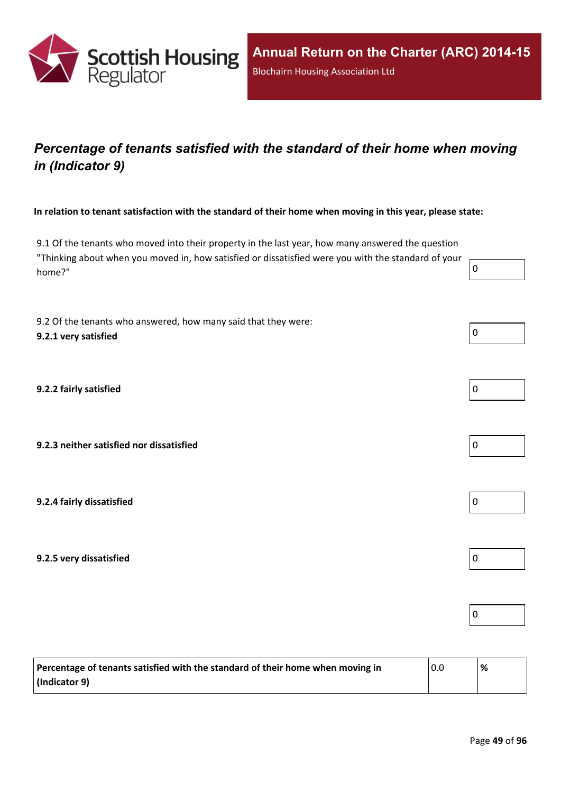

## *Percentage of tenants satisfied with the standard of their home when moving in (Indicator 9)*

In relation to tenant satisfaction with the standard of their home when moving in this year, please state:

9.1 Of the tenants who moved into their property in the last year, how many answered the question "Thinking about when you moved in, how satisfied or dissatisfied were you with the standard of your home?" 0

9.2 Of the tenants who answered, how many said that they were: **9.2.1 very satisfied** 0

**9.2.2 fairly satisfied** 0

**9.2.3 neither satisfied nor dissatisfied** 0

**9.2.4 fairly dissatisfied** 0

**9.2.5 very dissatisfied** 0

| Percentage of tenants satisfied with the standard of their home when moving in | 0.0 | % |
|--------------------------------------------------------------------------------|-----|---|
| (Indicator 9)                                                                  |     |   |





 $\overline{0}$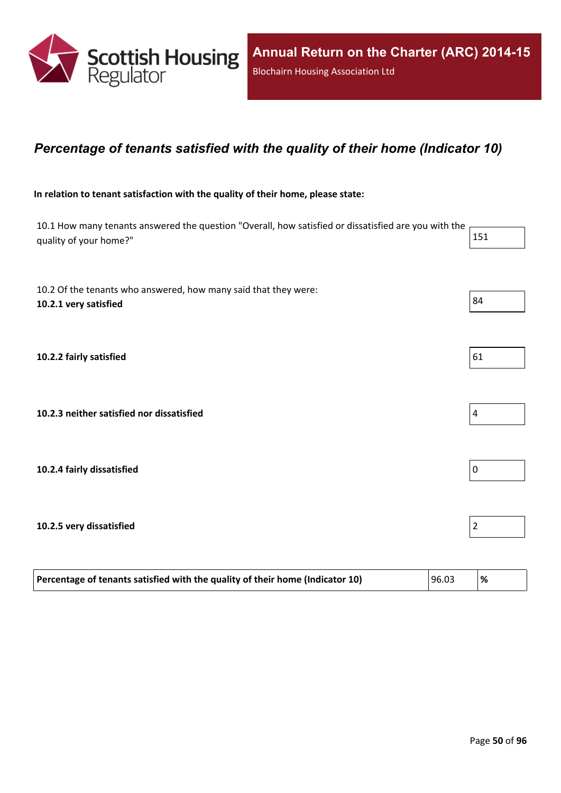

#### *Percentage of tenants satisfied with the quality of their home (Indicator 10)*

#### **In relation to tenant satisfaction with the quality of their home, please state:**

10.1 How many tenants answered the question "Overall, how satisfied or dissatisfied are you with the quality of your home?" 151

| 10.2 Of the tenants who answered, how many said that they were:<br>10.2.1 very satisfied | 84             |
|------------------------------------------------------------------------------------------|----------------|
| 10.2.2 fairly satisfied                                                                  | 61             |
| 10.2.3 neither satisfied nor dissatisfied                                                | $\vert$ 4      |
| 10.2.4 fairly dissatisfied                                                               | $\overline{0}$ |
| 10.2.5 very dissatisfied                                                                 | $\overline{2}$ |

| 96.03<br>Percentage of tenants satisfied with the quality of their home (Indicator 10) |  |  |  |
|----------------------------------------------------------------------------------------|--|--|--|
|----------------------------------------------------------------------------------------|--|--|--|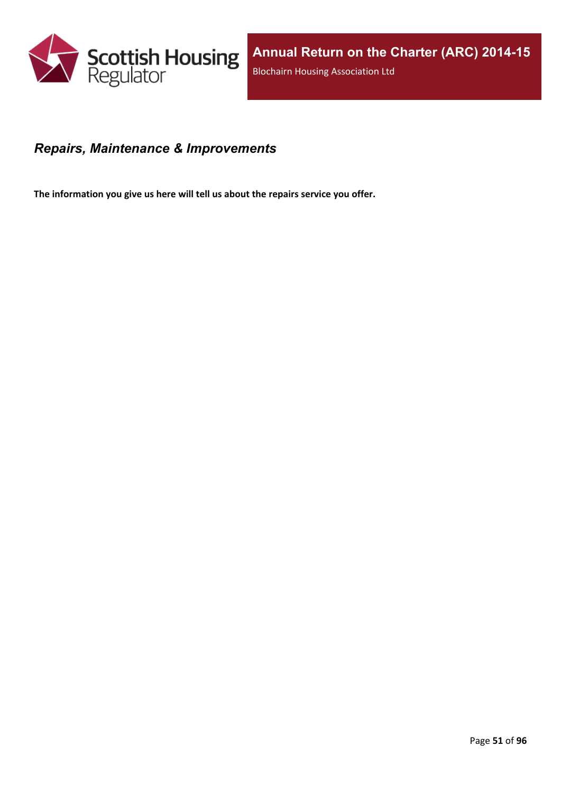

#### *Repairs, Maintenance & Improvements*

**The information you give us here will tell us about the repairs service you offer.**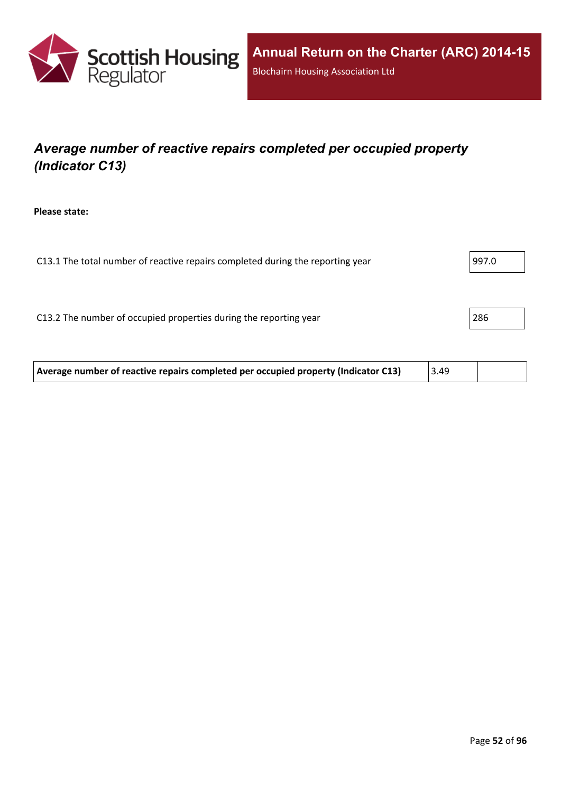

# *Average number of reactive repairs completed per occupied property (Indicator C13)*

**Please state:**

| C13.1 The total number of reactive repairs completed during the reporting year | 997.0 |
|--------------------------------------------------------------------------------|-------|
|                                                                                |       |
|                                                                                |       |
| C13.2 The number of occupied properties during the reporting year              | 286   |
|                                                                                |       |
|                                                                                |       |

| Average number of reactive repairs completed per occupied property (Indicator C13) | 3.49 |  |
|------------------------------------------------------------------------------------|------|--|
|------------------------------------------------------------------------------------|------|--|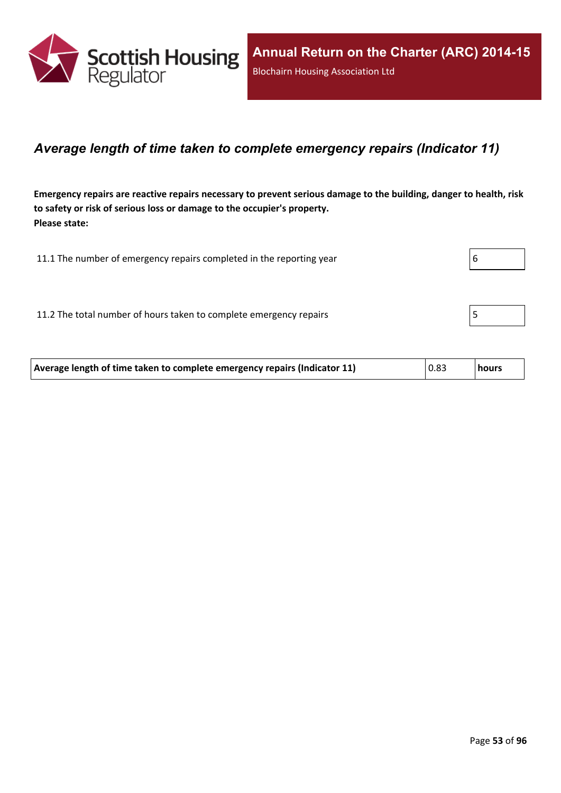

#### *Average length of time taken to complete emergency repairs (Indicator 11)*

Emergency repairs are reactive repairs necessary to prevent serious damage to the building, danger to health, risk **to safety or risk of serious loss or damage to the occupier's property. Please state:**

| 11.1 The number of emergency repairs completed in the reporting year | b |
|----------------------------------------------------------------------|---|
|                                                                      |   |
| 11.2 The total number of hours taken to complete emergency repairs   |   |

| Average length of time taken to complete emergency repairs (Indicator 11) | 0.83 | hours |
|---------------------------------------------------------------------------|------|-------|
|---------------------------------------------------------------------------|------|-------|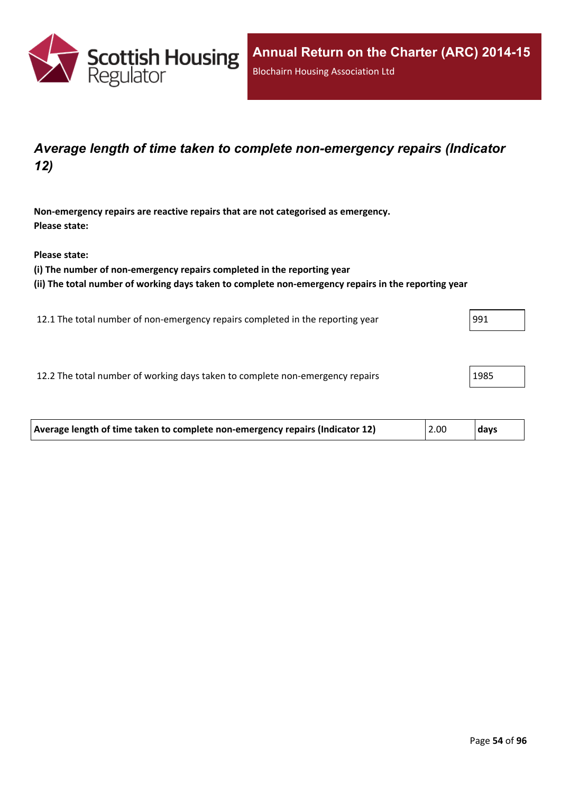

## *Average length of time taken to complete non-emergency repairs (Indicator 12)*

**Non-emergency repairs are reactive repairs that are not categorised as emergency. Please state:**

**Please state:**

**(i) The number of non-emergency repairs completed in the reporting year**

**(ii) The total number of working days taken to complete non-emergency repairs in the reporting year**

12.1 The total number of non-emergency repairs completed in the reporting year 991

12.2 The total number of working days taken to complete non-emergency repairs 1985

| Average length of time taken to complete non-emergency repairs (Indicator 12) | 2.00 | days |
|-------------------------------------------------------------------------------|------|------|
|-------------------------------------------------------------------------------|------|------|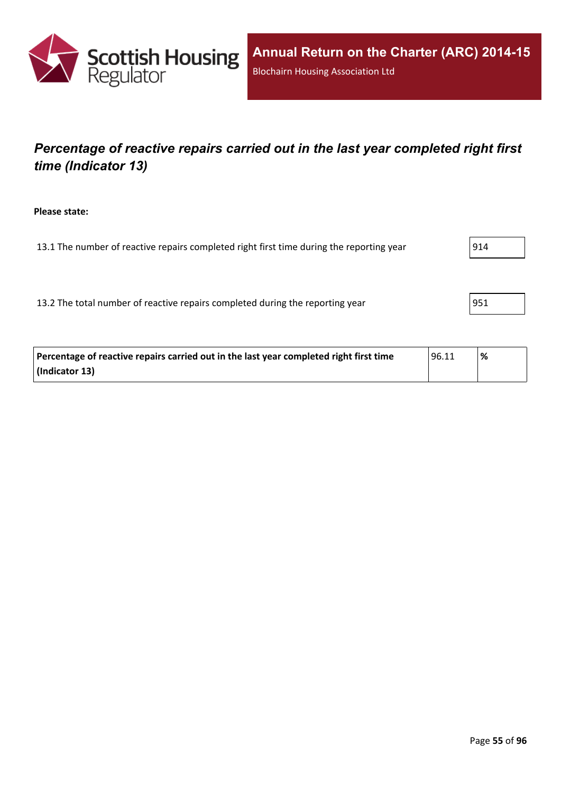

## *Percentage of reactive repairs carried out in the last year completed right first time (Indicator 13)*

#### **Please state:**

13.1 The number of reactive repairs completed right first time during the reporting year  $|914|$ 

13.2 The total number of reactive repairs completed during the reporting year | 951

| Percentage of reactive repairs carried out in the last year completed right first time | ' 96.11 | % |
|----------------------------------------------------------------------------------------|---------|---|
| (Indicator 13)                                                                         |         |   |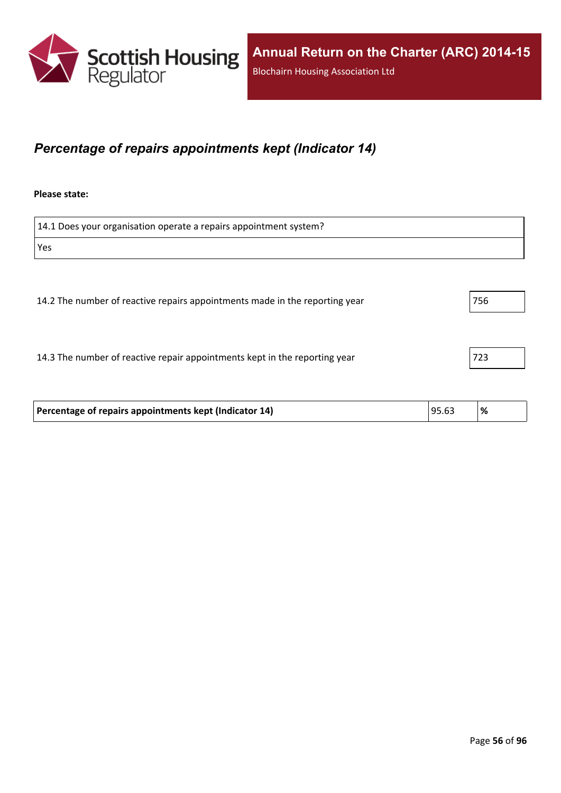

## *Percentage of repairs appointments kept (Indicator 14)*

#### **Please state:**

14.1 Does your organisation operate a repairs appointment system? Yes 14.2 The number of reactive repairs appointments made in the reporting year 756 14.3 The number of reactive repair appointments kept in the reporting year 723 **Percentage of repairs appointments kept (Indicator 14)** 95.63 **%**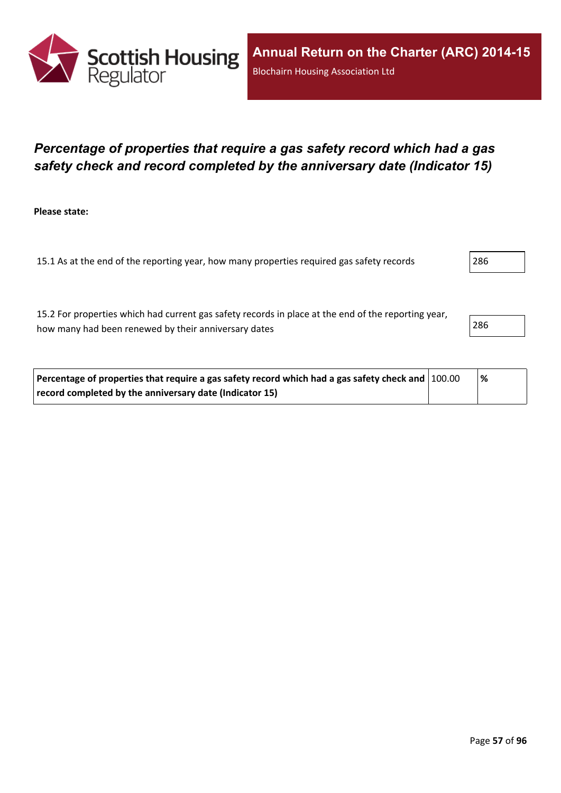

## *Percentage of properties that require a gas safety record which had a gas safety check and record completed by the anniversary date (Indicator 15)*

**Please state:**

15.1 As at the end of the reporting year, how many properties required gas safety records 286

15.2 For properties which had current gas safety records in place at the end of the reporting year, how many had been renewed by their anniversary dates 286

| Percentage of properties that require a gas safety record which had a gas safety check and   100.00 | % |  |
|-----------------------------------------------------------------------------------------------------|---|--|
| record completed by the anniversary date (Indicator 15)                                             |   |  |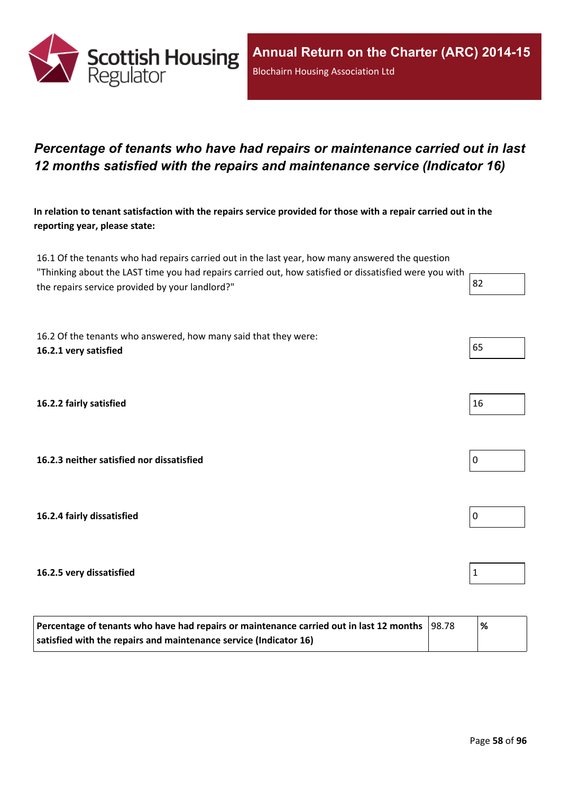

## *Percentage of tenants who have had repairs or maintenance carried out in last 12 months satisfied with the repairs and maintenance service (Indicator 16)*

In relation to tenant satisfaction with the repairs service provided for those with a repair carried out in the **reporting year, please state:**

16.1 Of the tenants who had repairs carried out in the last year, how many answered the question "Thinking about the LAST time you had repairs carried out, how satisfied or dissatisfied were you with the repairs service provided by your landlord?"  $\begin{array}{|l|l|} \hline \end{array}$  82

16.2 Of the tenants who answered, how many said that they were: **16.2.1 very satisfied** 65

**16.2.2 fairly satisfied** 16

**16.2.3 neither satisfied nor dissatisfied** 0

**16.2.4 fairly dissatisfied** 0

**16.2.5 very dissatisfied** 1

| Percentage of tenants who have had repairs or maintenance carried out in last 12 months   98.78 |  | '% |
|-------------------------------------------------------------------------------------------------|--|----|
| satisfied with the repairs and maintenance service (Indicator 16)                               |  |    |

Page **58** of **96**

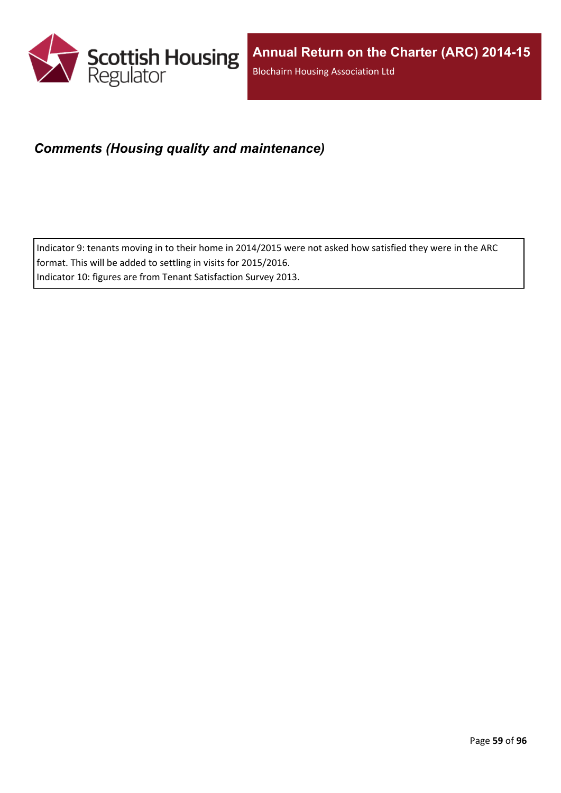

## *Comments (Housing quality and maintenance)*

Indicator 9: tenants moving in to their home in 2014/2015 were not asked how satisfied they were in the ARC format. This will be added to settling in visits for 2015/2016. Indicator 10: figures are from Tenant Satisfaction Survey 2013.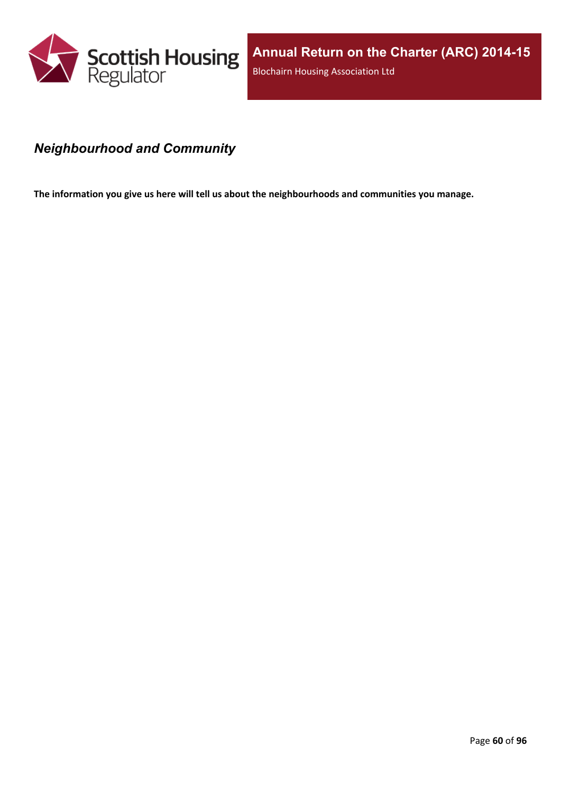

## *Neighbourhood and Community*

**The information you give us here will tell us about the neighbourhoods and communities you manage.**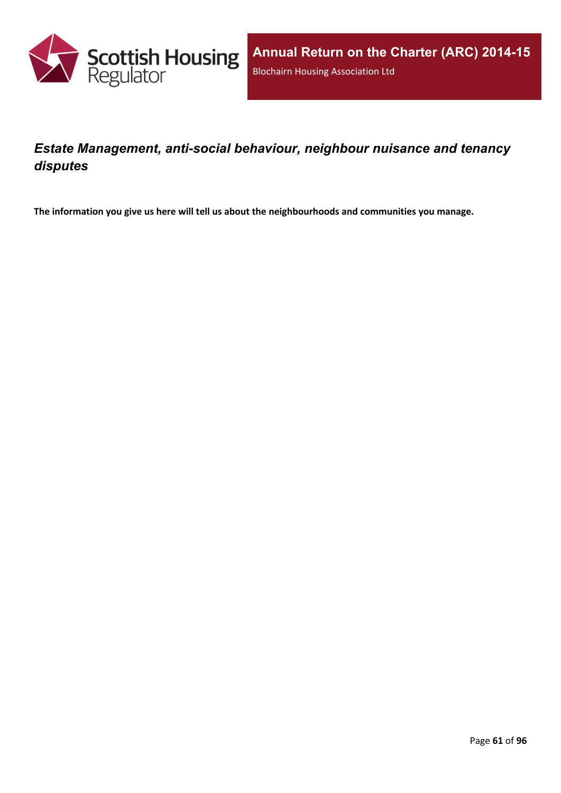

## *Estate Management, anti-social behaviour, neighbour nuisance and tenancy disputes*

**The information you give us here will tell us about the neighbourhoods and communities you manage.**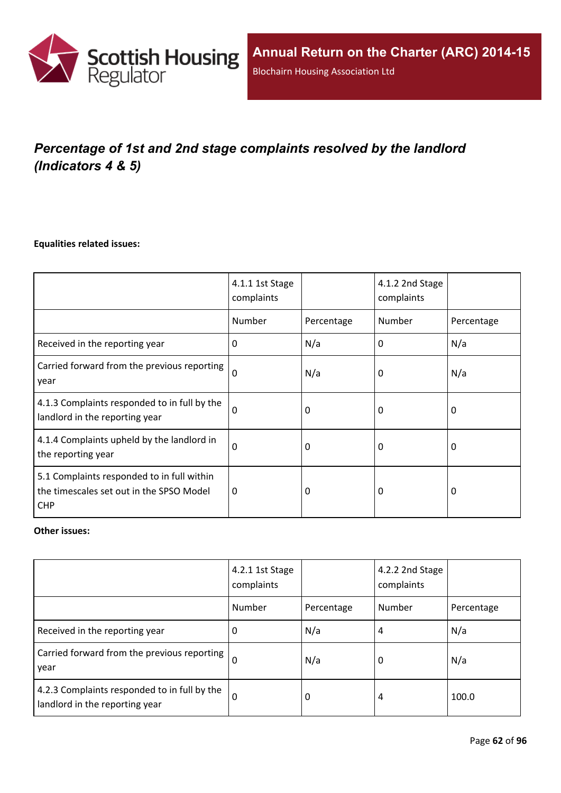

# *Percentage of 1st and 2nd stage complaints resolved by the landlord (Indicators 4 & 5)*

#### **Equalities related issues:**

|                                                                                                      | 4.1.1 1st Stage<br>complaints |            | 4.1.2 2nd Stage<br>complaints |            |
|------------------------------------------------------------------------------------------------------|-------------------------------|------------|-------------------------------|------------|
|                                                                                                      | Number                        | Percentage | Number                        | Percentage |
| Received in the reporting year                                                                       | $\Omega$                      | N/a        | 0                             | N/a        |
| Carried forward from the previous reporting<br>year                                                  | $\Omega$                      | N/a        | 0                             | N/a        |
| 4.1.3 Complaints responded to in full by the<br>landlord in the reporting year                       | $\Omega$                      | 0          | 0                             | 0          |
| 4.1.4 Complaints upheld by the landlord in<br>the reporting year                                     | 0                             | 0          | 0                             | 0          |
| 5.1 Complaints responded to in full within<br>the timescales set out in the SPSO Model<br><b>CHP</b> | $\Omega$                      | 0          | 0                             | $\Omega$   |

#### **Other issues:**

|                                                                                | 4.2.1 1st Stage<br>complaints |            | 4.2.2 2nd Stage<br>complaints |            |
|--------------------------------------------------------------------------------|-------------------------------|------------|-------------------------------|------------|
|                                                                                | Number                        | Percentage | Number                        | Percentage |
| Received in the reporting year                                                 | 0                             | N/a        | 4                             | N/a        |
| Carried forward from the previous reporting  <br>year                          | $\Omega$                      | N/a        | 0                             | N/a        |
| 4.2.3 Complaints responded to in full by the<br>landlord in the reporting year | $\Omega$                      | 0          | 4                             | 100.0      |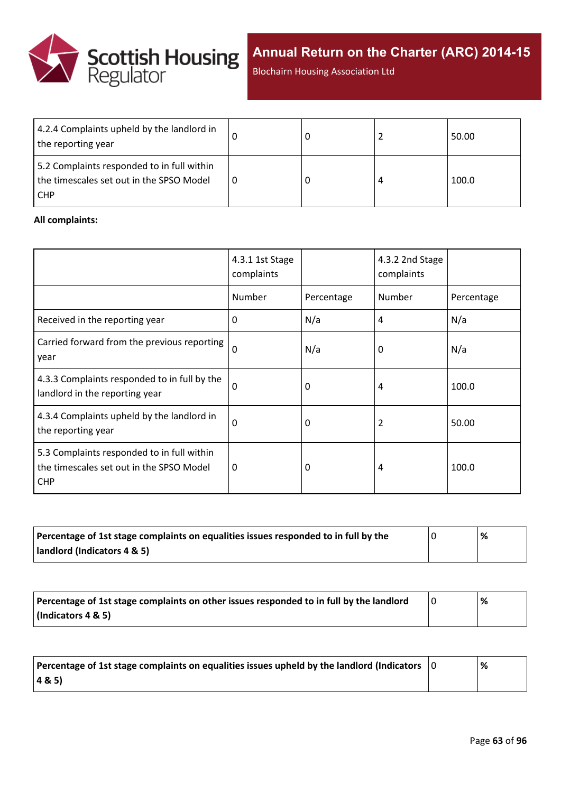

Blochairn Housing Association Ltd

| 4.2.4 Complaints upheld by the landlord in<br>the reporting year                                     |  | 50.00 |
|------------------------------------------------------------------------------------------------------|--|-------|
| 5.2 Complaints responded to in full within<br>the timescales set out in the SPSO Model<br><b>CHP</b> |  | 100.0 |

#### **All complaints:**

|                                                                                                      | 4.3.1 1st Stage<br>complaints |            | 4.3.2 2nd Stage<br>complaints |            |
|------------------------------------------------------------------------------------------------------|-------------------------------|------------|-------------------------------|------------|
|                                                                                                      | Number                        | Percentage | Number                        | Percentage |
| Received in the reporting year                                                                       | 0                             | N/a        | 4                             | N/a        |
| Carried forward from the previous reporting<br>year                                                  | $\Omega$                      | N/a        | 0                             | N/a        |
| 4.3.3 Complaints responded to in full by the<br>landlord in the reporting year                       | $\Omega$                      | 0          | 4                             | 100.0      |
| 4.3.4 Complaints upheld by the landlord in<br>the reporting year                                     | $\Omega$                      | 0          | 2                             | 50.00      |
| 5.3 Complaints responded to in full within<br>the timescales set out in the SPSO Model<br><b>CHP</b> | 0                             | 0          | 4                             | 100.0      |

| Percentage of 1st stage complaints on equalities issues responded to in full by the | % |
|-------------------------------------------------------------------------------------|---|
| landlord (Indicators 4 & 5)                                                         |   |

| Percentage of 1st stage complaints on other issues responded to in full by the landlord | % |
|-----------------------------------------------------------------------------------------|---|
| (Indicators 4 & 5)                                                                      |   |

| Percentage of 1st stage complaints on equalities issues upheld by the landlord (Indicators $\vert$ 0 | % |
|------------------------------------------------------------------------------------------------------|---|
| (48.5)                                                                                               |   |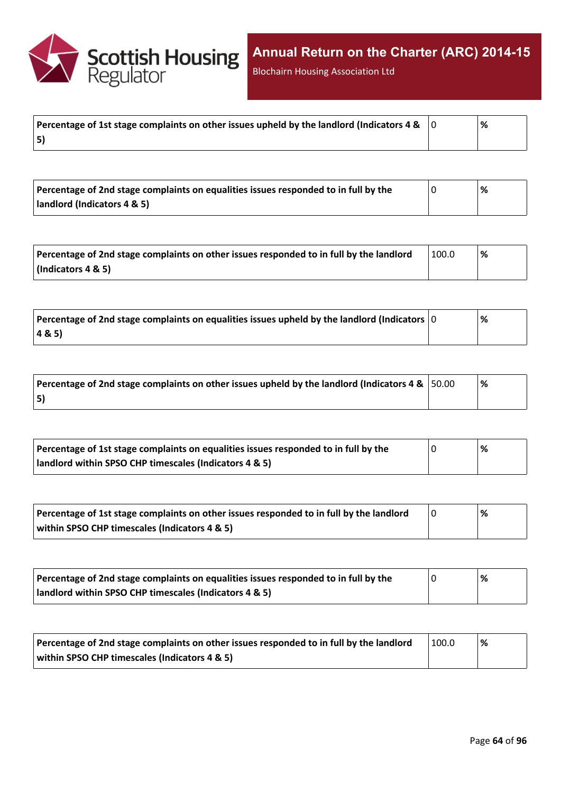

Blochairn Housing Association Ltd

|    | % |
|----|---|
| 5) |   |

| Percentage of 2nd stage complaints on equalities issues responded to in full by the | % |
|-------------------------------------------------------------------------------------|---|
| landlord (Indicators 4 & 5)                                                         |   |

| Percentage of 2nd stage complaints on other issues responded to in full by the landlord | 100.0 | % |
|-----------------------------------------------------------------------------------------|-------|---|
| $\vert$ (Indicators 4 & 5)                                                              |       |   |

| $\mid$ Percentage of 2nd stage complaints on equalities issues upheld by the landlord (Indicators $\mid$ 0 | % |
|------------------------------------------------------------------------------------------------------------|---|
| 4&5)                                                                                                       |   |

| Percentage of 2nd stage complaints on other issues upheld by the landlord (Indicators 4 & $\vert$ 50.00 | '% |
|---------------------------------------------------------------------------------------------------------|----|
| 5)                                                                                                      |    |

| Percentage of 1st stage complaints on equalities issues responded to in full by the | % |
|-------------------------------------------------------------------------------------|---|
| landlord within SPSO CHP timescales (Indicators 4 & 5)                              |   |

| Percentage of 1st stage complaints on other issues responded to in full by the landlord | % |
|-----------------------------------------------------------------------------------------|---|
| within SPSO CHP timescales (Indicators 4 & 5)                                           |   |

| Percentage of 2nd stage complaints on equalities issues responded to in full by the | $\%$ |
|-------------------------------------------------------------------------------------|------|
| landlord within SPSO CHP timescales (Indicators 4 & 5)                              |      |

| Percentage of 2nd stage complaints on other issues responded to in full by the landlord | 100.0 | '% |
|-----------------------------------------------------------------------------------------|-------|----|
| within SPSO CHP timescales (Indicators 4 & 5)                                           |       |    |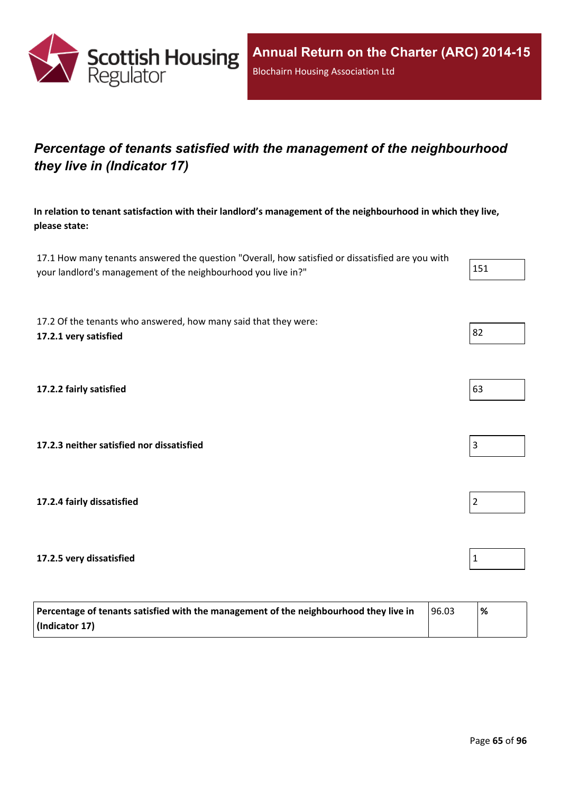

## *Percentage of tenants satisfied with the management of the neighbourhood they live in (Indicator 17)*

**In relation to tenant satisfaction with their landlord's management of the neighbourhood in which they live, please state:**

17.1 How many tenants answered the question "Overall, how satisfied or dissatisfied are you with your landlord's management of the neighbourhood you live in?" 151

17.2 Of the tenants who answered, how many said that they were: **17.2.1 very satisfied** 82

**17.2.2 fairly satisfied** 63

**17.2.3 neither satisfied nor dissatisfied** 3

**17.2.4 fairly dissatisfied** 2

**17.2.5 very dissatisfied** 1

| Percentage of tenants satisfied with the management of the neighbourhood they live in | 96.03 | % |
|---------------------------------------------------------------------------------------|-------|---|
| (Indicator 17)                                                                        |       |   |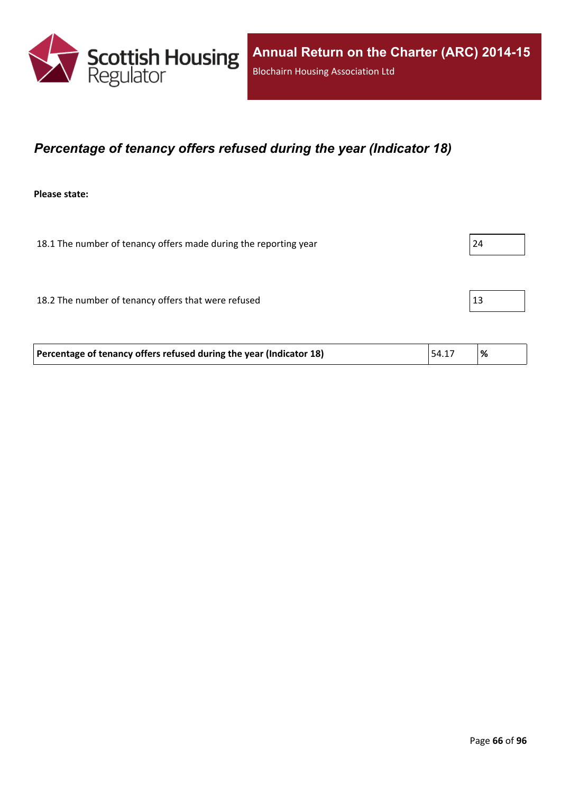

## *Percentage of tenancy offers refused during the year (Indicator 18)*

**Please state:**

18.1 The number of tenancy offers made during the reporting year 24 18.2 The number of tenancy offers that were refused 13

| Percentage of tenancy offers refused during the year (Indicator 18) | 54.17 | '% |
|---------------------------------------------------------------------|-------|----|
|---------------------------------------------------------------------|-------|----|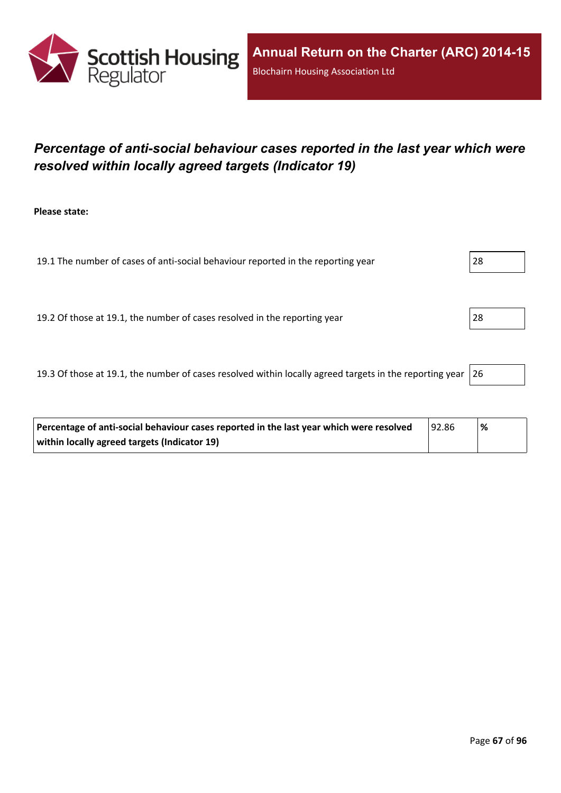

## *Percentage of anti-social behaviour cases reported in the last year which were resolved within locally agreed targets (Indicator 19)*

**Please state:**

19.1 The number of cases of anti-social behaviour reported in the reporting year 28

19.2 Of those at 19.1, the number of cases resolved in the reporting year 28

19.3 Of those at 19.1, the number of cases resolved within locally agreed targets in the reporting year  $|26$ 

| Percentage of anti-social behaviour cases reported in the last year which were resolved | 92.86 | % |
|-----------------------------------------------------------------------------------------|-------|---|
| within locally agreed targets (Indicator 19)                                            |       |   |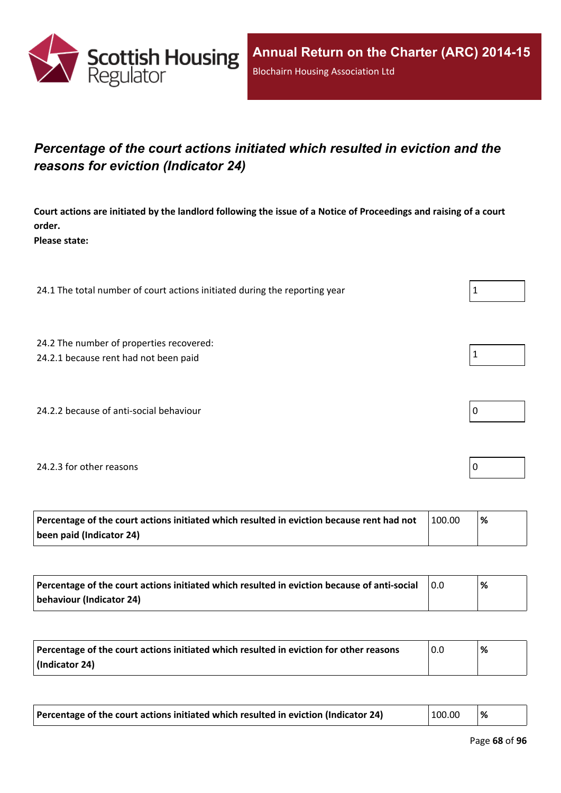

## *Percentage of the court actions initiated which resulted in eviction and the reasons for eviction (Indicator 24)*

Court actions are initiated by the landlord following the issue of a Notice of Proceedings and raising of a court **order.**

**Please state:**

24.1 The total number of court actions initiated during the reporting year 24.1

- 24.2 The number of properties recovered:
- 24.2.1 because rent had not been paid
- 24.2.2 because of anti-social behaviour

#### 24.2.3 for other reasons 0

| Percentage of the court actions initiated which resulted in eviction because rent had not | 100.00 | % |
|-------------------------------------------------------------------------------------------|--------|---|
| been paid (Indicator 24)                                                                  |        |   |

| Percentage of the court actions initiated which resulted in eviction because of anti-social | $\overline{0.0}$ | % |
|---------------------------------------------------------------------------------------------|------------------|---|
| behaviour (Indicator 24)                                                                    |                  |   |

| Percentage of the court actions initiated which resulted in eviction for other reasons | 0.0 | '% |
|----------------------------------------------------------------------------------------|-----|----|
| $\vert$ (Indicator 24)                                                                 |     |    |

| Percentage of the court actions initiated which resulted in eviction (Indicator 24) | 100.00 | % |  |
|-------------------------------------------------------------------------------------|--------|---|--|
|-------------------------------------------------------------------------------------|--------|---|--|

|--|--|--|--|--|--|--|

|--|--|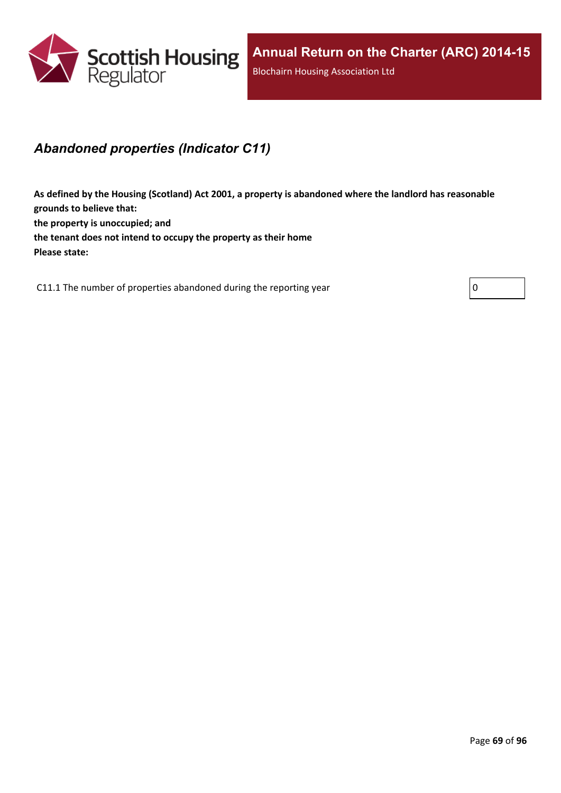

## *Abandoned properties (Indicator C11)*

**As defined by the Housing (Scotland) Act 2001, a property is abandoned where the landlord has reasonable grounds to believe that: the property is unoccupied; and the tenant does not intend to occupy the property as their home Please state:**

C11.1 The number of properties abandoned during the reporting year  $\vert 0 \vert$ 

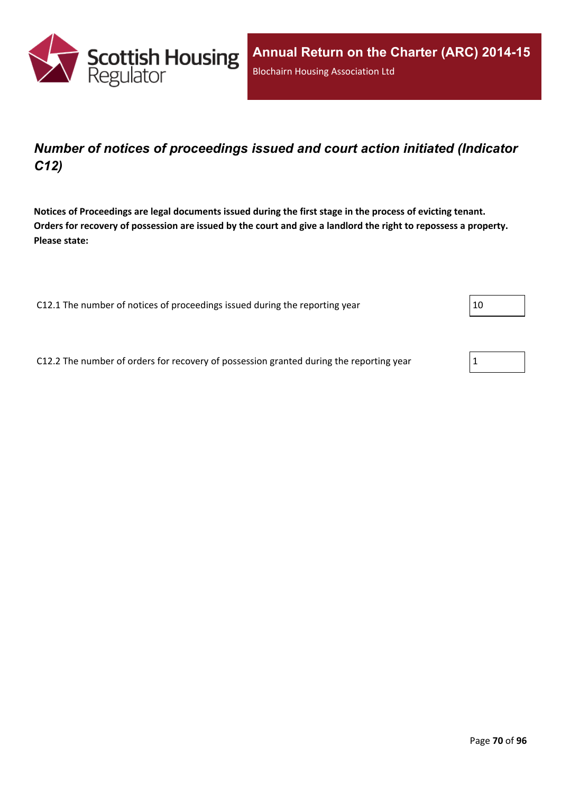

## *Number of notices of proceedings issued and court action initiated (Indicator C12)*

Notices of Proceedings are legal documents issued during the first stage in the process of evicting tenant. Orders for recovery of possession are issued by the court and give a landlord the right to repossess a property. **Please state:**

C12.1 The number of notices of proceedings issued during the reporting year  $|10 \rangle$ 

C12.2 The number of orders for recovery of possession granted during the reporting year  $1$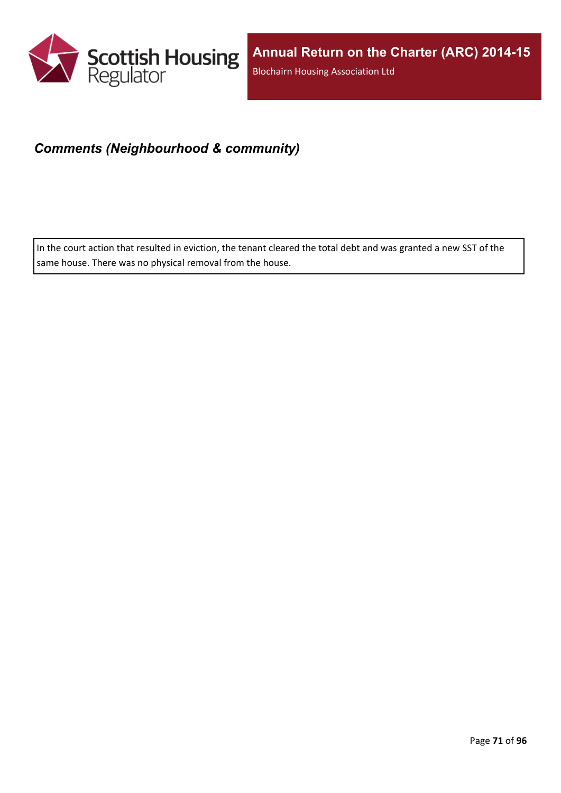

## *Comments (Neighbourhood & community)*

In the court action that resulted in eviction, the tenant cleared the total debt and was granted a new SST of the same house. There was no physical removal from the house.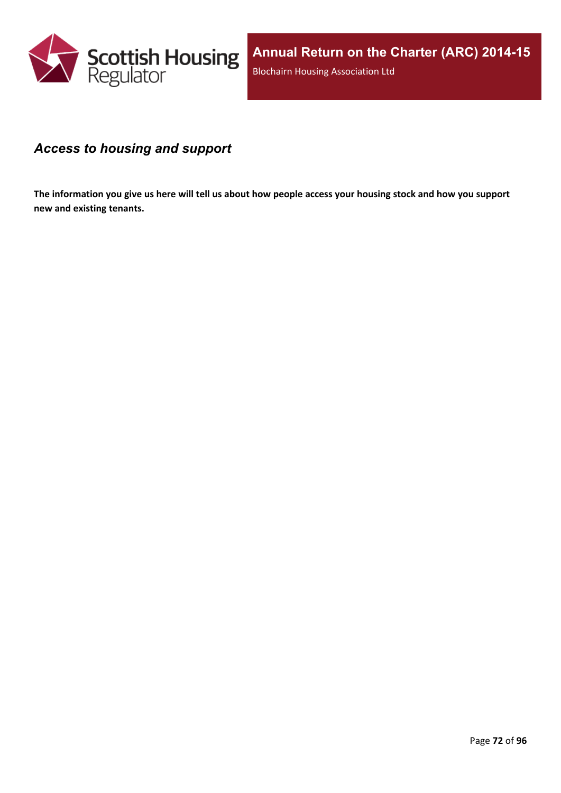

### *Access to housing and support*

The information you give us here will tell us about how people access your housing stock and how you support **new and existing tenants.**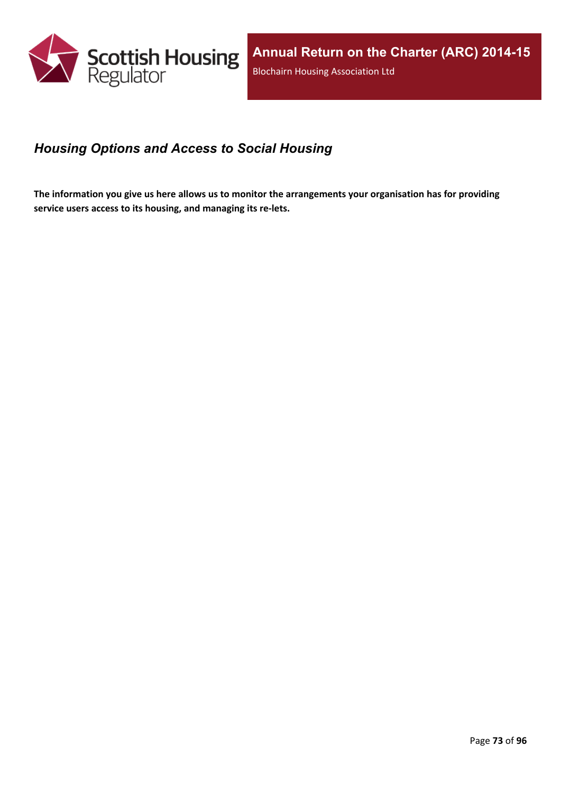

## *Housing Options and Access to Social Housing*

The information you give us here allows us to monitor the arrangements your organisation has for providing **service users access to its housing, and managing its re-lets.**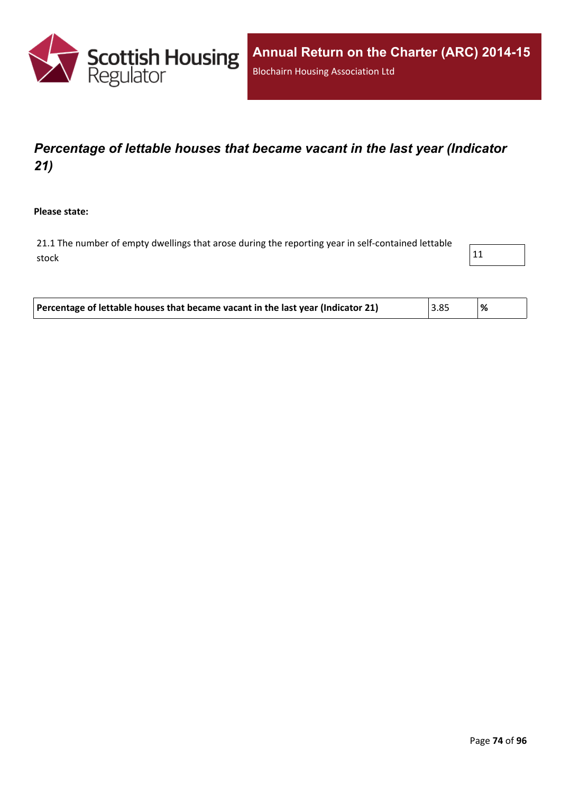

# *Percentage of lettable houses that became vacant in the last year (Indicator 21)*

**Please state:**

21.1 The number of empty dwellings that arose during the reporting year in self-contained lettable stock and the stock of  $\vert$  11  $\vert$ 

| Percentage of lettable houses that became vacant in the last year (Indicator 21)<br>3.85 |  |  |
|------------------------------------------------------------------------------------------|--|--|
|------------------------------------------------------------------------------------------|--|--|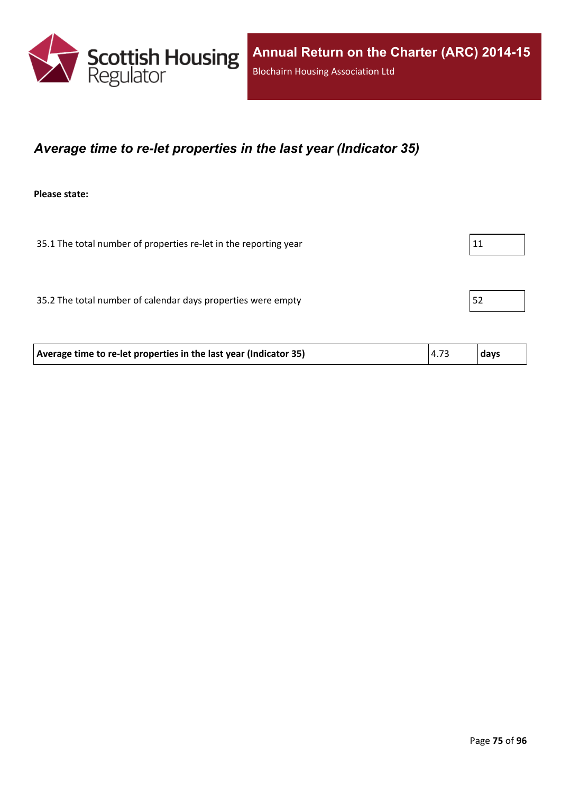

### *Average time to re-let properties in the last year (Indicator 35)*

**Please state:**

35.1 The total number of properties re-let in the reporting year  $11$ 35.2 The total number of calendar days properties were empty  $|52|$ 

| 4.73<br>days<br>Average time to re-let properties in the last year (Indicator 35) |  |
|-----------------------------------------------------------------------------------|--|
|-----------------------------------------------------------------------------------|--|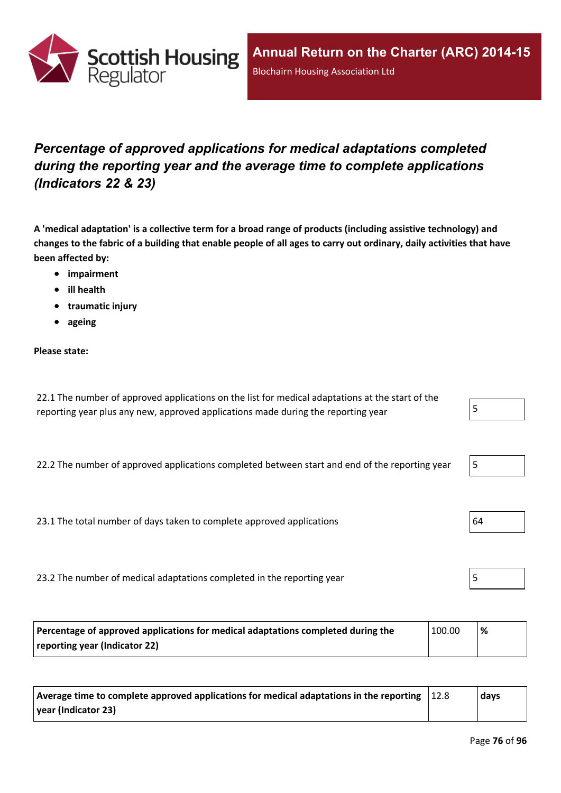

# *Percentage of approved applications for medical adaptations completed during the reporting year and the average time to complete applications (Indicators 22 & 23)*

A 'medical adaptation' is a collective term for a broad range of products (including assistive technology) and changes to the fabric of a building that enable people of all ages to carry out ordinary, daily activities that have **been affected by:**

- **impairment**
- **ill health**
- **traumatic injury**
- **ageing**

#### **Please state:**

| 22.1 The number of approved applications on the list for medical adaptations at the start of the |  |
|--------------------------------------------------------------------------------------------------|--|
| reporting year plus any new, approved applications made during the reporting year                |  |

22.2 The number of approved applications completed between start and end of the reporting year

23.1 The total number of days taken to complete approved applications  $\vert 64 \rangle$ 

23.2 The number of medical adaptations completed in the reporting year

| Percentage of approved applications for medical adaptations completed during the<br>100.00 |  | % |
|--------------------------------------------------------------------------------------------|--|---|
| reporting year (Indicator 22)                                                              |  |   |

| $\vert$ Average time to complete approved applications for medical adaptations in the reporting $\vert$ | 12.8 | days |
|---------------------------------------------------------------------------------------------------------|------|------|
| $\vert$ year (Indicator 23)                                                                             |      |      |

|--|



|--|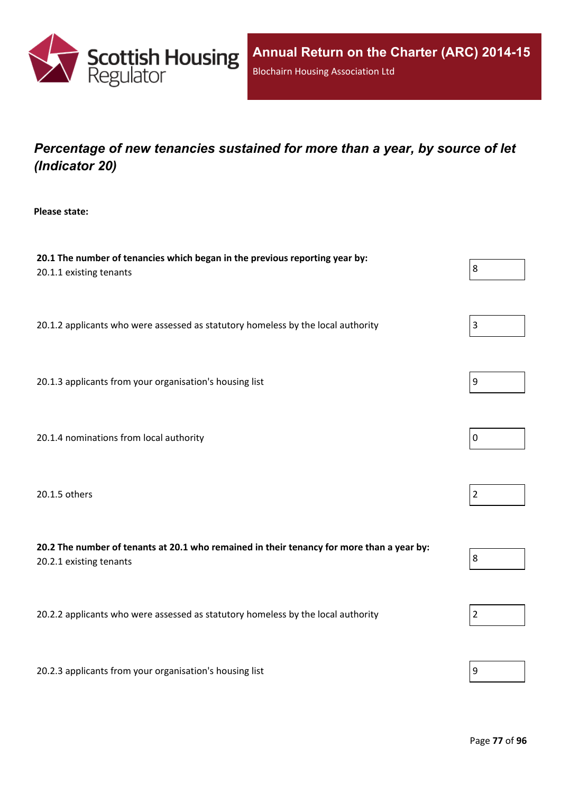

# *Percentage of new tenancies sustained for more than a year, by source of let (Indicator 20)*

**Please state:**

| 20.1 The number of tenancies which began in the previous reporting year by:<br>20.1.1 existing tenants               | 8              |
|----------------------------------------------------------------------------------------------------------------------|----------------|
| 20.1.2 applicants who were assessed as statutory homeless by the local authority                                     | $\mathsf 3$    |
| 20.1.3 applicants from your organisation's housing list                                                              | $9\,$          |
| 20.1.4 nominations from local authority                                                                              | $\mathbf 0$    |
| 20.1.5 others                                                                                                        | $\overline{2}$ |
| 20.2 The number of tenants at 20.1 who remained in their tenancy for more than a year by:<br>20.2.1 existing tenants | 8              |
| 20.2.2 applicants who were assessed as statutory homeless by the local authority                                     | $\overline{2}$ |
| 20.2.3 applicants from your organisation's housing list                                                              | 9              |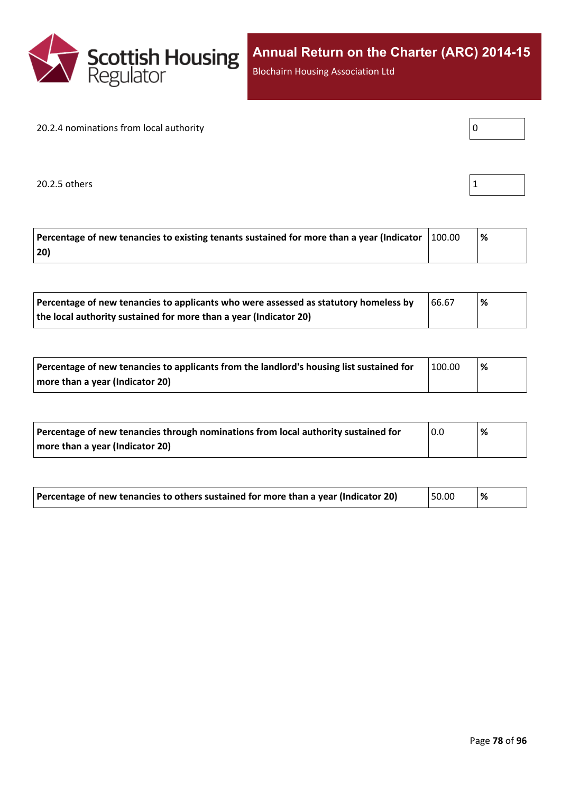

Blochairn Housing Association Ltd

#### 20.2.4 nominations from local authority

| Ω |  |  |
|---|--|--|

20.2.5 others 1

|--|

| Percentage of new tenancies to existing tenants sustained for more than a year (Indicator $\parallel$ | 100.00 |  |
|-------------------------------------------------------------------------------------------------------|--------|--|
| 20)                                                                                                   |        |  |

| Percentage of new tenancies to applicants who were assessed as statutory homeless by | 66.67 | % |
|--------------------------------------------------------------------------------------|-------|---|
| the local authority sustained for more than a year (Indicator 20)                    |       |   |

| Percentage of new tenancies to applicants from the landlord's housing list sustained for | 100.00 | ∣% |
|------------------------------------------------------------------------------------------|--------|----|
| more than a year (Indicator 20)                                                          |        |    |

| Percentage of new tenancies through nominations from local authority sustained for | 0.0 | % |
|------------------------------------------------------------------------------------|-----|---|
| more than a year (Indicator 20)                                                    |     |   |

| Percentage of new tenancies to others sustained for more than a year (Indicator 20) | 50.00 | ∣% |  |
|-------------------------------------------------------------------------------------|-------|----|--|
|-------------------------------------------------------------------------------------|-------|----|--|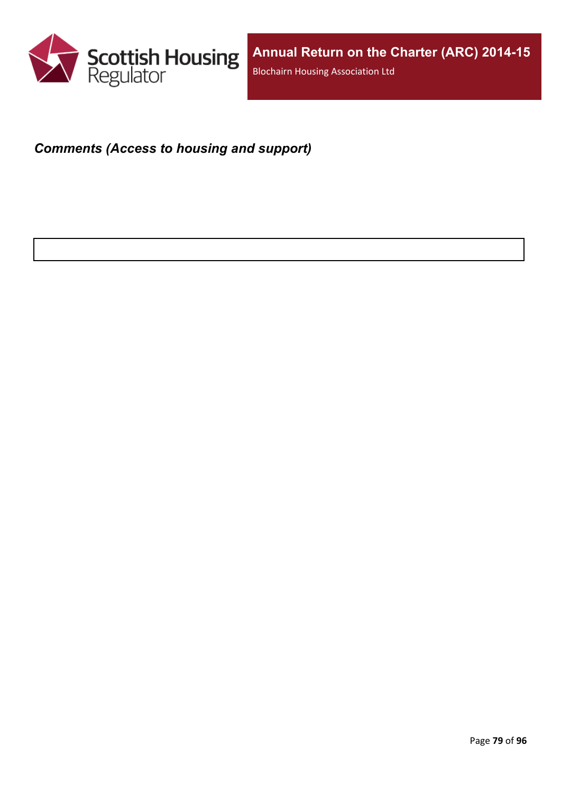

## *Comments (Access to housing and support)*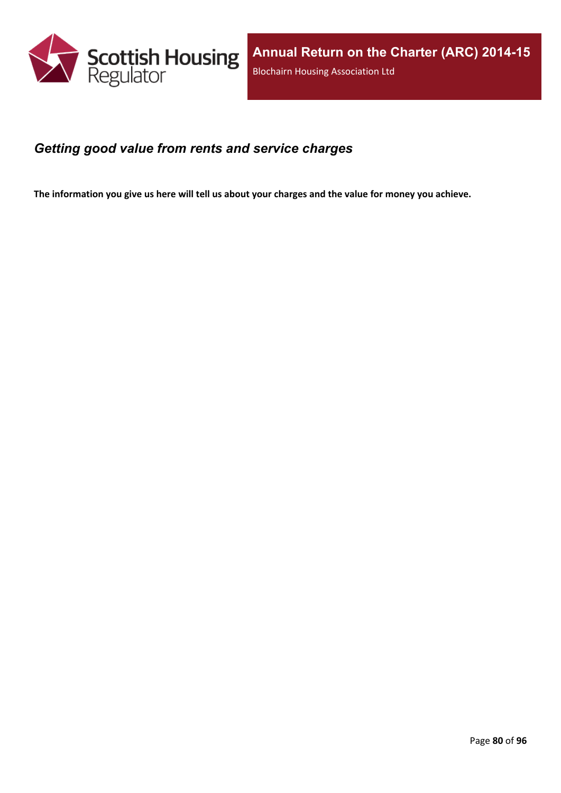

#### *Getting good value from rents and service charges*

The information you give us here will tell us about your charges and the value for money you achieve.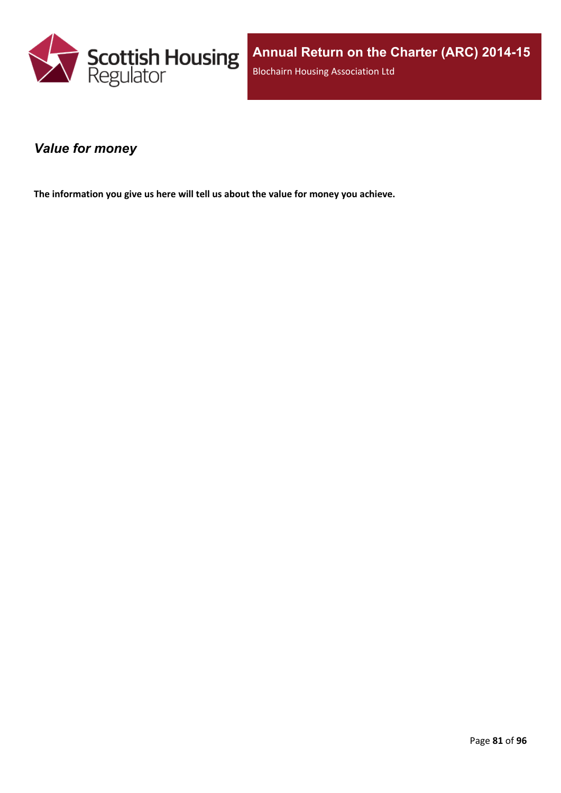

#### *Value for money*

**The information you give us here will tell us about the value for money you achieve.**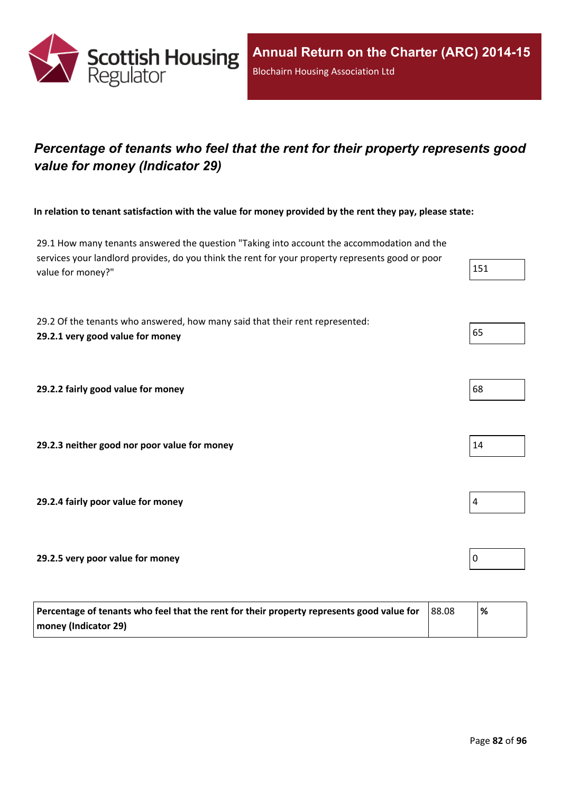

# *Percentage of tenants who feel that the rent for their property represents good value for money (Indicator 29)*

In relation to tenant satisfaction with the value for money provided by the rent they pay, please state:

29.1 How many tenants answered the question "Taking into account the accommodation and the services your landlord provides, do you think the rent for your property represents good or poor value for money?"

29.2 Of the tenants who answered, how many said that their rent represented: **29.2.1 very good value for money** 65

**29.2.2 fairly good value for money** 

**29.2.3 neither good nor poor value for money** 14

**29.2.4 fairly poor value for money** 4

**29.2.5 very poor value for money** 0

| Percentage of tenants who feel that the rent for their property represents good value for | 88.08 | '% |
|-------------------------------------------------------------------------------------------|-------|----|
| money (Indicator 29)                                                                      |       |    |

| 68 |  |  |
|----|--|--|

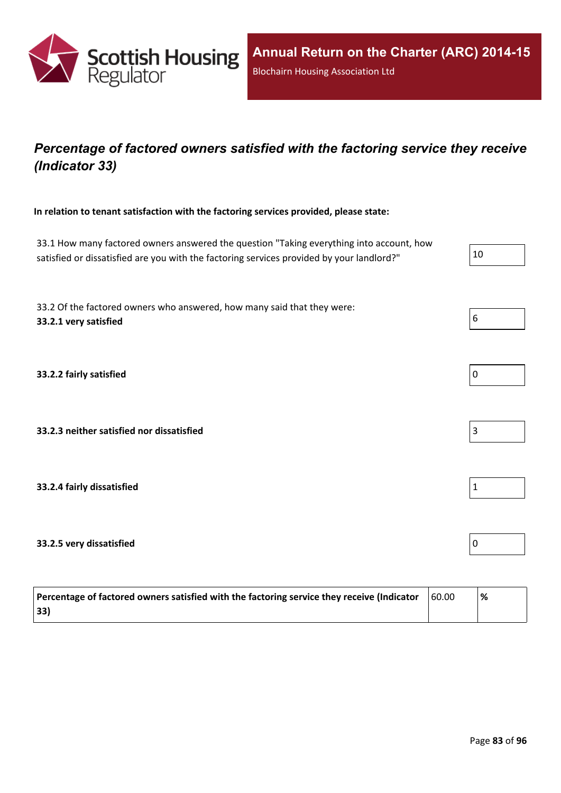

## *Percentage of factored owners satisfied with the factoring service they receive (Indicator 33)*

**In relation to tenant satisfaction with the factoring services provided, please state:**

33.1 How many factored owners answered the question "Taking everything into account, how satisfied or dissatisfied are you with the factoring services provided by your landlord?"  $10$ 33.2 Of the factored owners who answered, how many said that they were: **33.2.1 very satisfied** 6 **33.2.2 fairly satisfied** 0 **33.2.3 neither satisfied nor dissatisfied** 3 **33.2.4 fairly dissatisfied** 1 **33.2.5 very dissatisfied** 0

| Percentage of factored owners satisfied with the factoring service they receive (Indicator | 60.00 | % |
|--------------------------------------------------------------------------------------------|-------|---|
| 33)                                                                                        |       |   |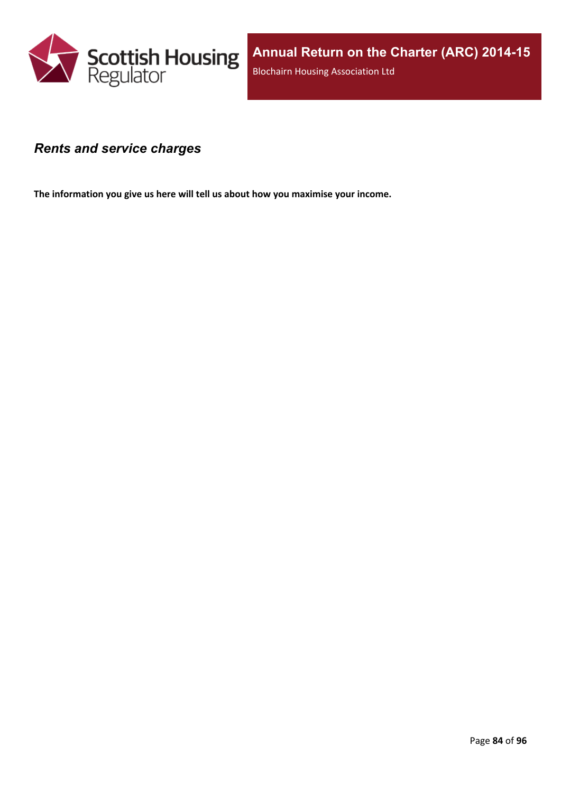

#### *Rents and service charges*

**The information you give us here will tell us about how you maximise your income.**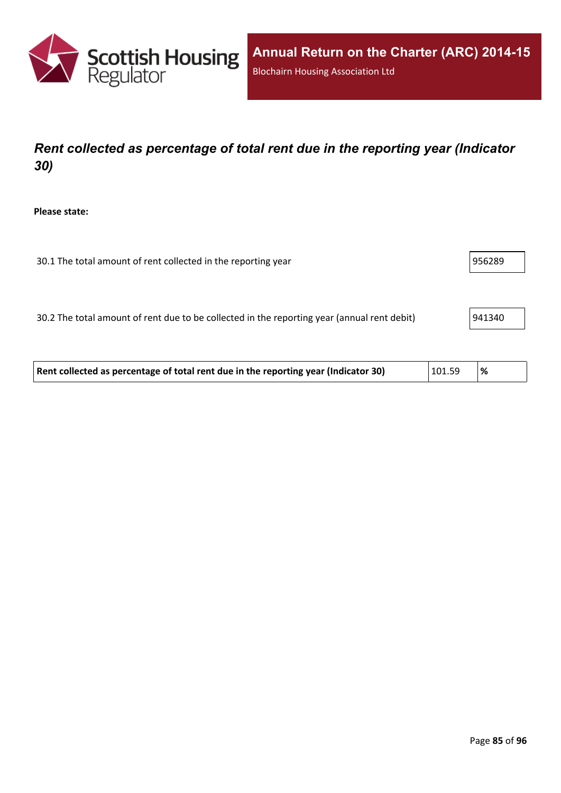

# *Rent collected as percentage of total rent due in the reporting year (Indicator 30)*

**Please state:**

| 30.1 The total amount of rent collected in the reporting year | 956289 |
|---------------------------------------------------------------|--------|
|---------------------------------------------------------------|--------|

30.2 The total amount of rent due to be collected in the reporting year (annual rent debit) 941340

| Rent collected as percentage of total rent due in the reporting year (Indicator 30) | 101.59 | $\frac{9}{6}$ |  |
|-------------------------------------------------------------------------------------|--------|---------------|--|
|-------------------------------------------------------------------------------------|--------|---------------|--|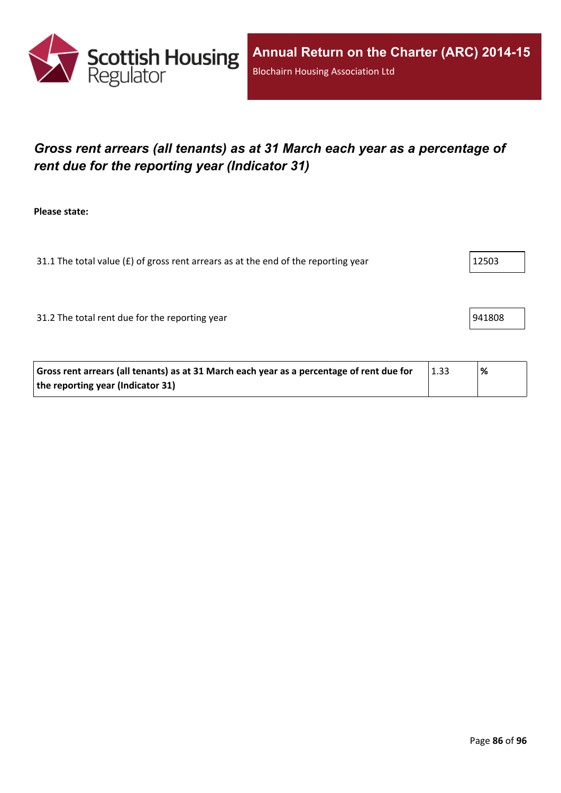

# *Gross rent arrears (all tenants) as at 31 March each year as a percentage of rent due for the reporting year (Indicator 31)*

**Please state:**

31.1 The total value ( $f$ ) of gross rent arrears as at the end of the reporting year  $12503$ 

31.2 The total rent due for the reporting year 941808

| Gross rent arrears (all tenants) as at 31 March each year as a percentage of rent due for | $\vert$ 1.33 | % |  |
|-------------------------------------------------------------------------------------------|--------------|---|--|
| the reporting year (Indicator 31)                                                         |              |   |  |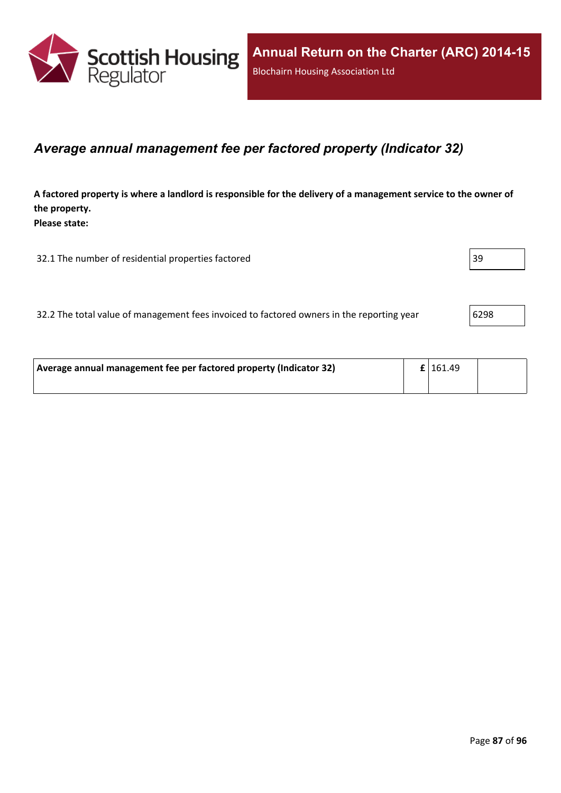

#### *Average annual management fee per factored property (Indicator 32)*

A factored property is where a landlord is responsible for the delivery of a management service to the owner of **the property. Please state:**

32.1 The number of residential properties factored 39

32.2 The total value of management fees invoiced to factored owners in the reporting year 6298

| Average annual management fee per factored property (Indicator 32) | $\mathbf{f}$   161.49 |  |
|--------------------------------------------------------------------|-----------------------|--|
|                                                                    |                       |  |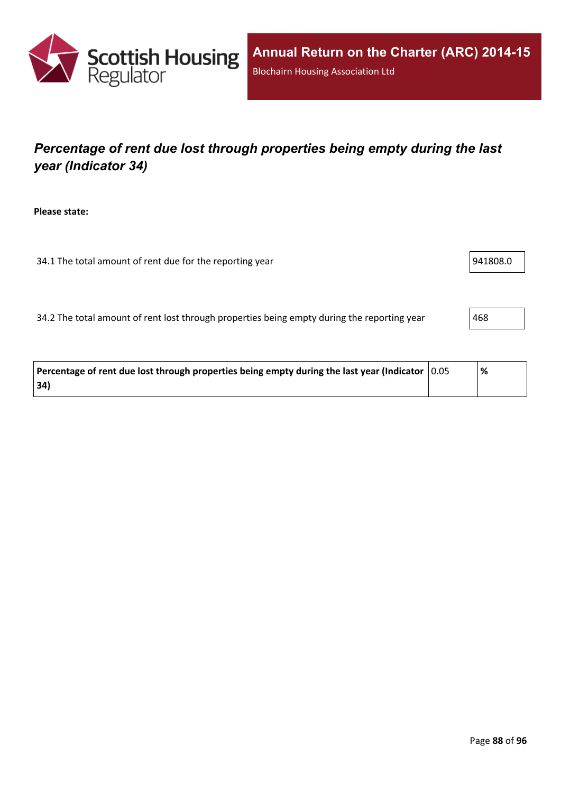

# *Percentage of rent due lost through properties being empty during the last year (Indicator 34)*

**Please state:**

34.1 The total amount of rent due for the reporting year 94.1 Section 1941808.0

34.2 The total amount of rent lost through properties being empty during the reporting year 468

| Percentage of rent due lost through properties being empty during the last year (Indicator $\mid$ 0.05 | % |  |
|--------------------------------------------------------------------------------------------------------|---|--|
| 34)                                                                                                    |   |  |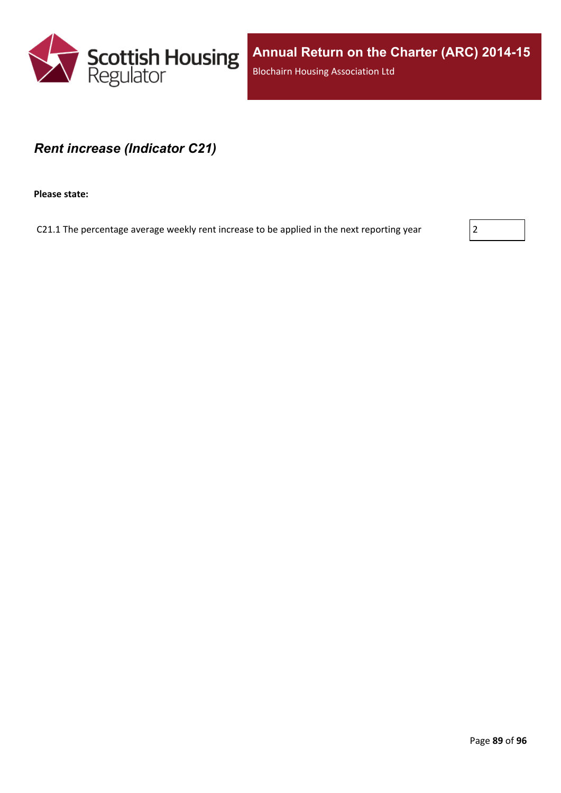

**Annual Return on the Charter (ARC) 2014-15** Blochairn Housing Association Ltd

#### *Rent increase (Indicator C21)*

**Please state:**

C21.1 The percentage average weekly rent increase to be applied in the next reporting year  $|2|$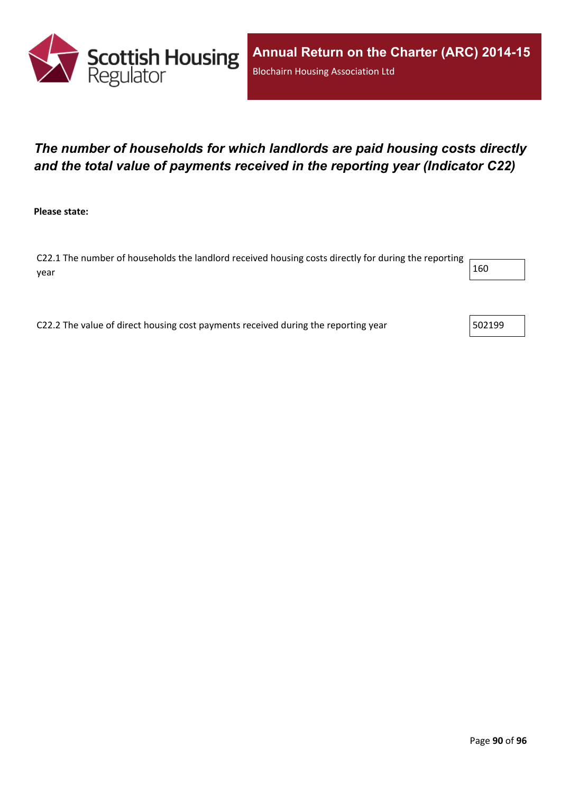

## *The number of households for which landlords are paid housing costs directly and the total value of payments received in the reporting year (Indicator C22)*

**Please state:**

C22.1 The number of households the landlord received housing costs directly for during the reporting year  $\vert$  160  $\vert$ 

C22.2 The value of direct housing cost payments received during the reporting year  $\vert$  502199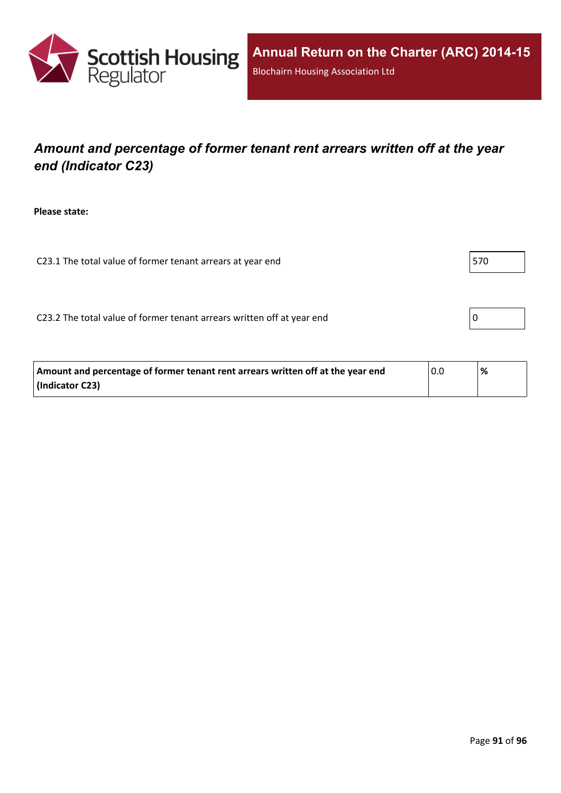

## *Amount and percentage of former tenant rent arrears written off at the year end (Indicator C23)*

**Please state:**

C23.1 The total value of former tenant arrears at year end  $\vert$  570

C23.2 The total value of former tenant arrears written off at year end  $\vert 0 \vert$ 

| Amount and percentage of former tenant rent arrears written off at the year end | 0.0 | % |
|---------------------------------------------------------------------------------|-----|---|
| (Indicator C23)                                                                 |     |   |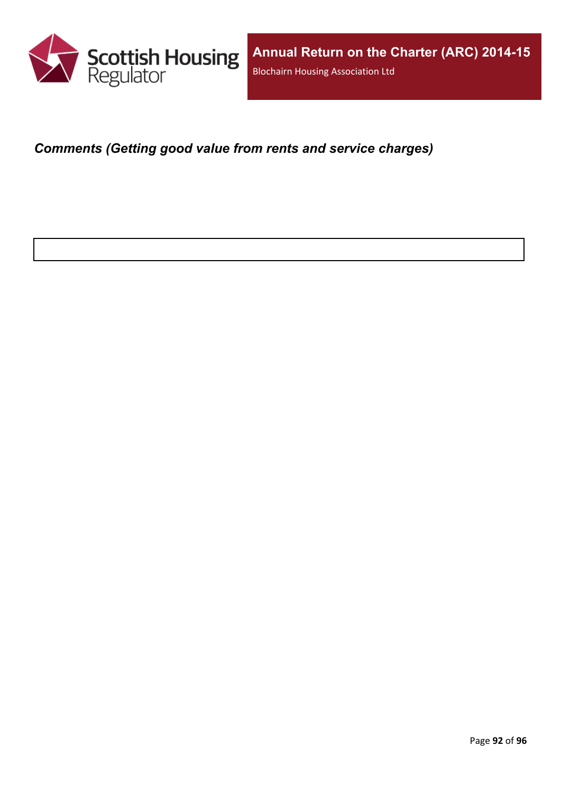

*Comments (Getting good value from rents and service charges)*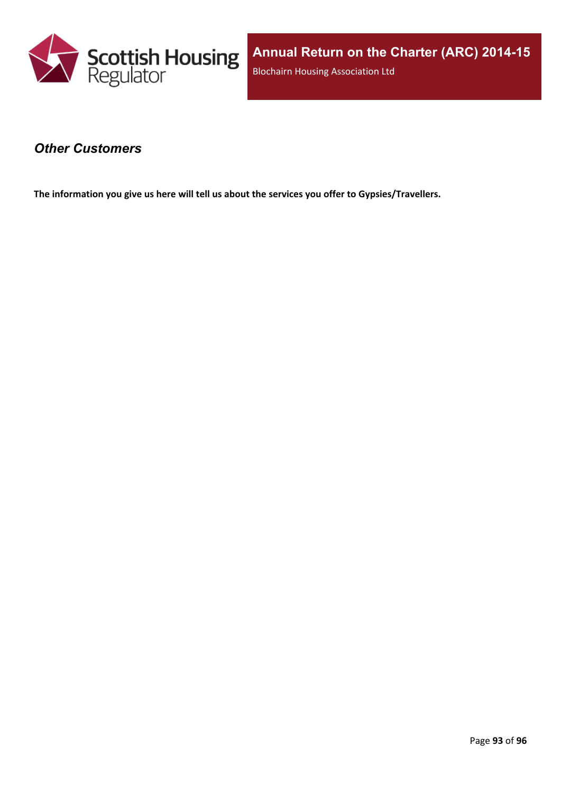

#### *Other Customers*

**The information you give us here will tell us about the services you offer to Gypsies/Travellers.**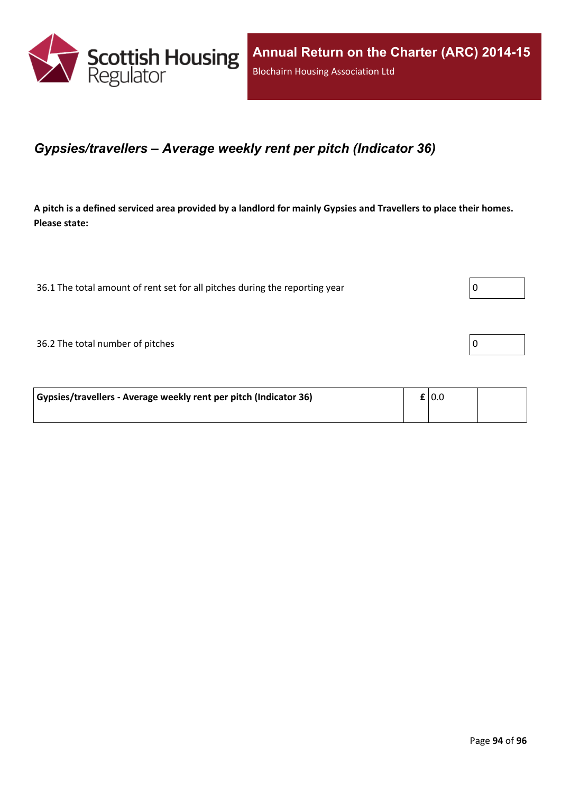

#### *Gypsies/travellers – Average weekly rent per pitch (Indicator 36)*

A pitch is a defined serviced area provided by a landlord for mainly Gypsies and Travellers to place their homes. **Please state:**

36.1 The total amount of rent set for all pitches during the reporting year  $\vert$  0

36.2 The total number of pitches 0

| Gypsies/travellers - Average weekly rent per pitch (Indicator 36) | £ 0.0 |  |
|-------------------------------------------------------------------|-------|--|
|                                                                   |       |  |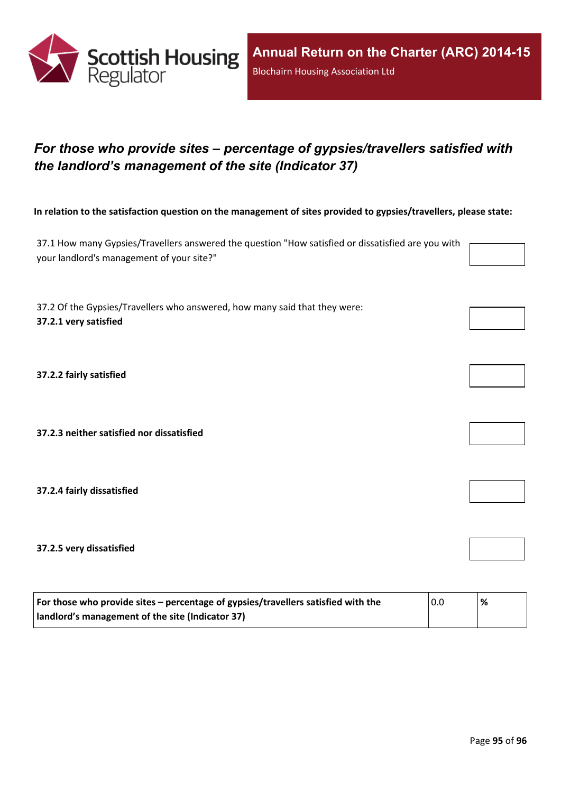

# *For those who provide sites – percentage of gypsies/travellers satisfied with the landlord's management of the site (Indicator 37)*

In relation to the satisfaction question on the management of sites provided to gypsies/travellers, please state:

37.1 How many Gypsies/Travellers answered the question "How satisfied or dissatisfied are you with your landlord's management of your site?"

37.2 Of the Gypsies/Travellers who answered, how many said that they were: **37.2.1 very satisfied**

**37.2.2 fairly satisfied**

**37.2.3 neither satisfied nor dissatisfied**

**37.2.4 fairly dissatisfied**

**37.2.5 very dissatisfied**

| For those who provide sites – percentage of gypsies/travellers satisfied with the | $\overline{0.0}$ | % |
|-----------------------------------------------------------------------------------|------------------|---|
| Indlord's management of the site (Indicator 37)                                   |                  |   |